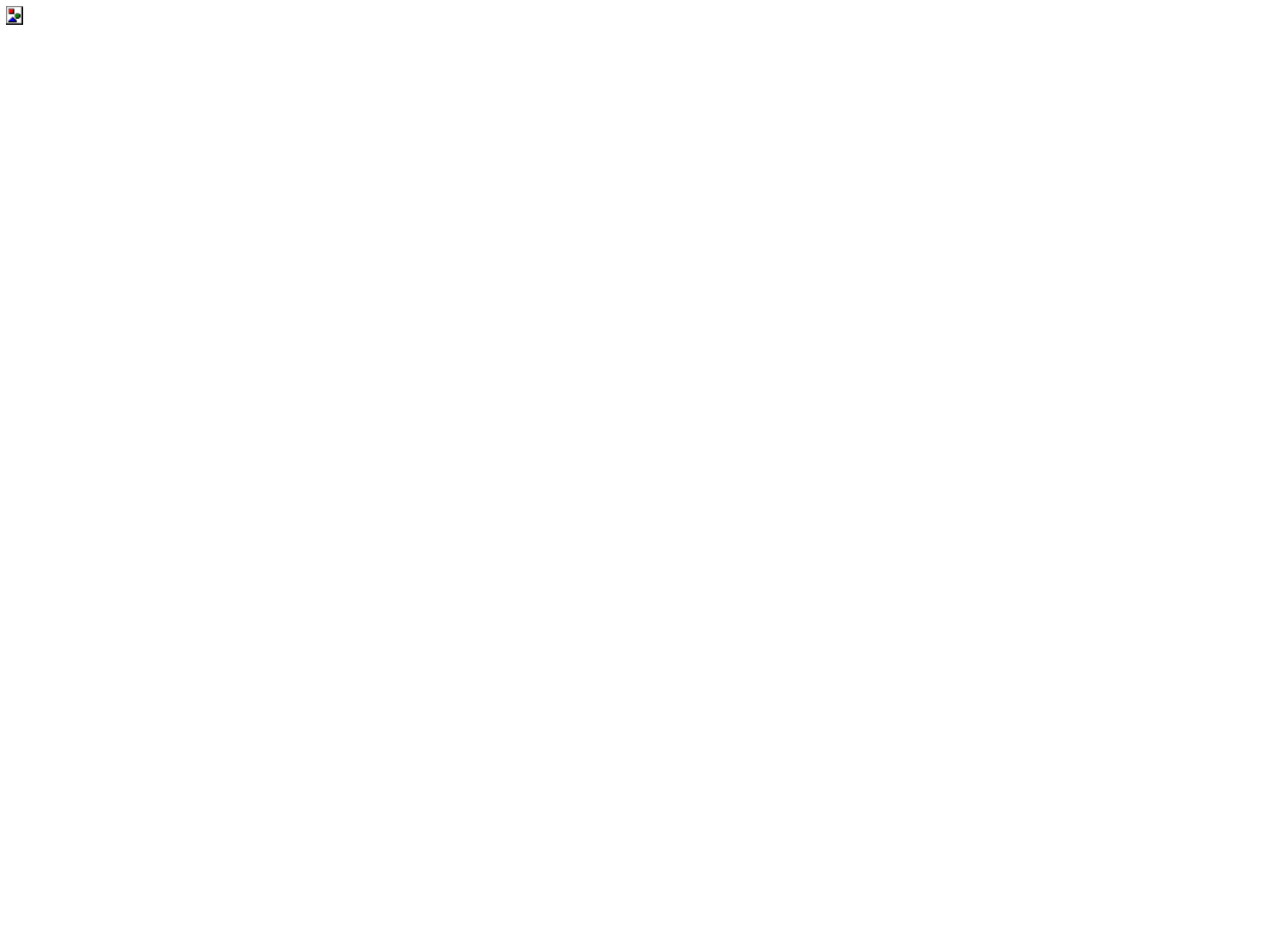$\overline{\phantom{a}}$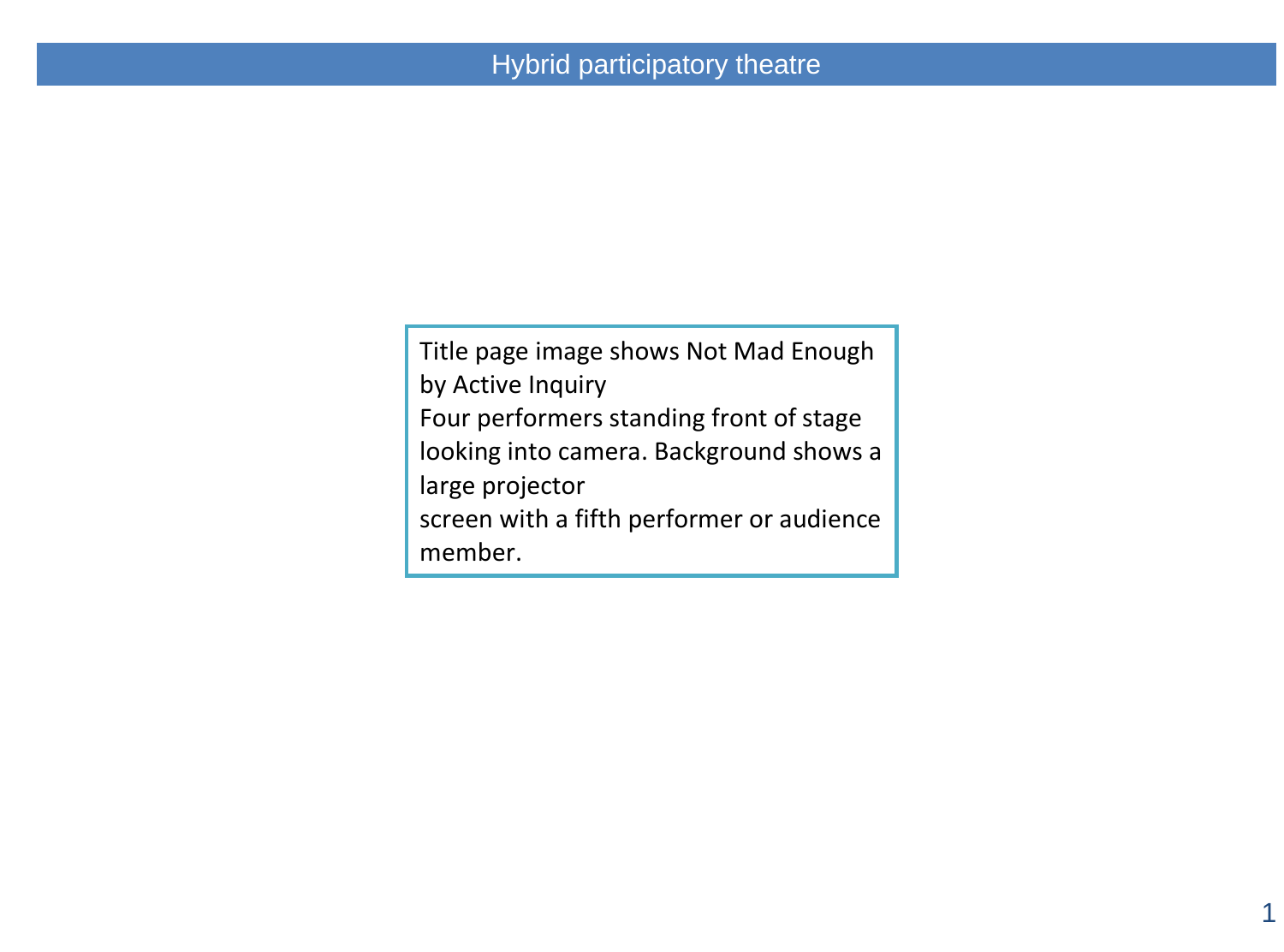Title page image shows Not Mad Enough by Active Inquiry Four performers standing front of stage looking into camera. Background shows a large projector screen with a fifth performer or audience member.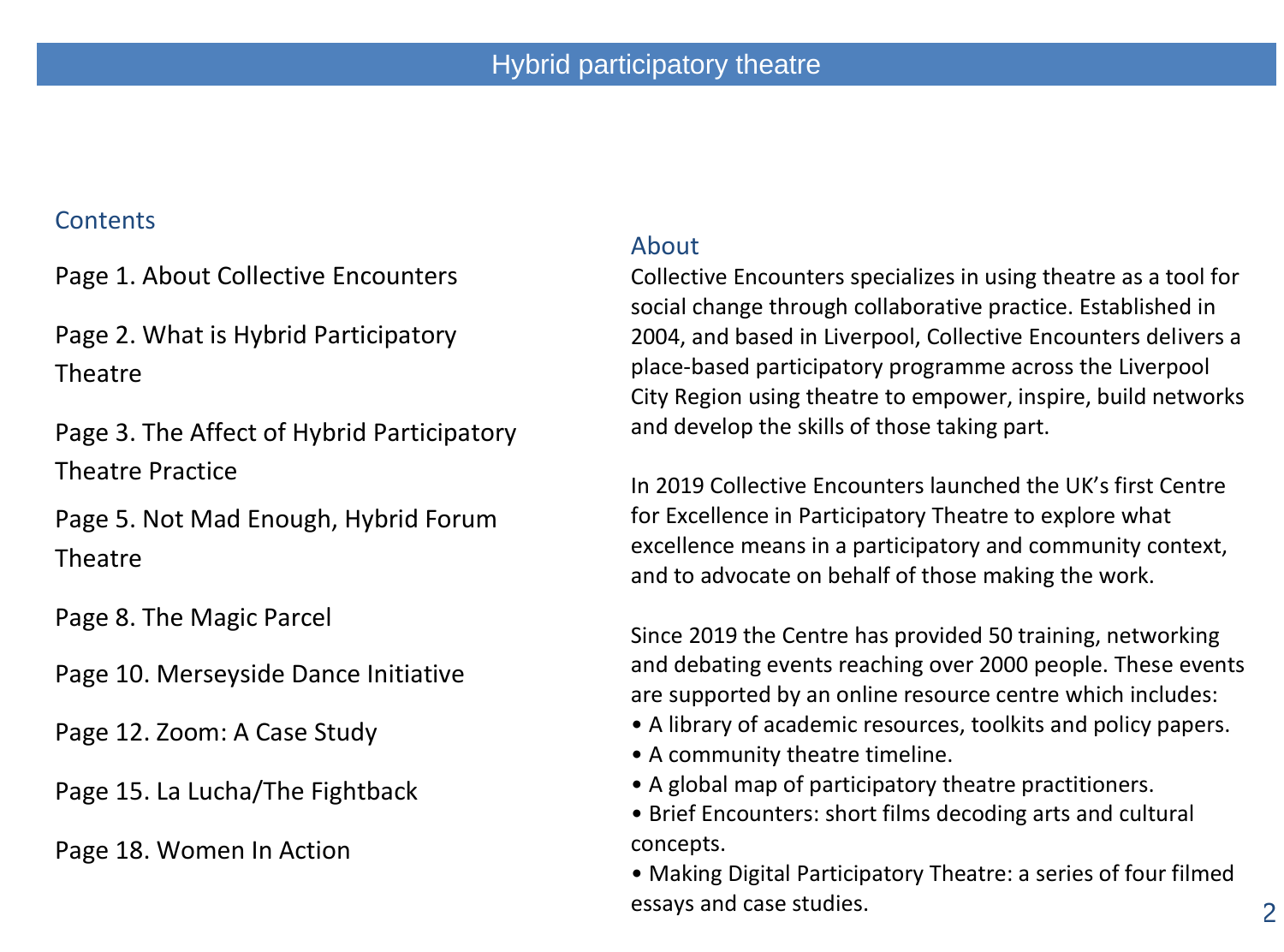#### **Contents**

Page 1. About Collective Encounters

Page 2. What is Hybrid Participatory **Theatre** 

Page 3. The Affect of Hybrid Participatory Theatre Practice

Page 5. Not Mad Enough, Hybrid Forum Theatre

Page 8. The Magic Parcel

Page 10. Merseyside Dance Initiative

Page 12. Zoom: A Case Study

Page 15. La Lucha/The Fightback

Page 18. Women In Action

#### About

Collective Encounters specializes in using theatre as a tool for social change through collaborative practice. Established in 2004, and based in Liverpool, Collective Encounters delivers a place-based participatory programme across the Liverpool City Region using theatre to empower, inspire, build networks and develop the skills of those taking part.

In 2019 Collective Encounters launched the UK's first Centre for Excellence in Participatory Theatre to explore what excellence means in a participatory and community context, and to advocate on behalf of those making the work.

Since 2019 the Centre has provided 50 training, networking and debating events reaching over 2000 people. These events are supported by an online resource centre which includes:

- A library of academic resources, toolkits and policy papers.
- A community theatre timeline.
- A global map of participatory theatre practitioners.
- Brief Encounters: short films decoding arts and cultural concepts.
- Making Digital Participatory Theatre: a series of four filmed essays and case studies.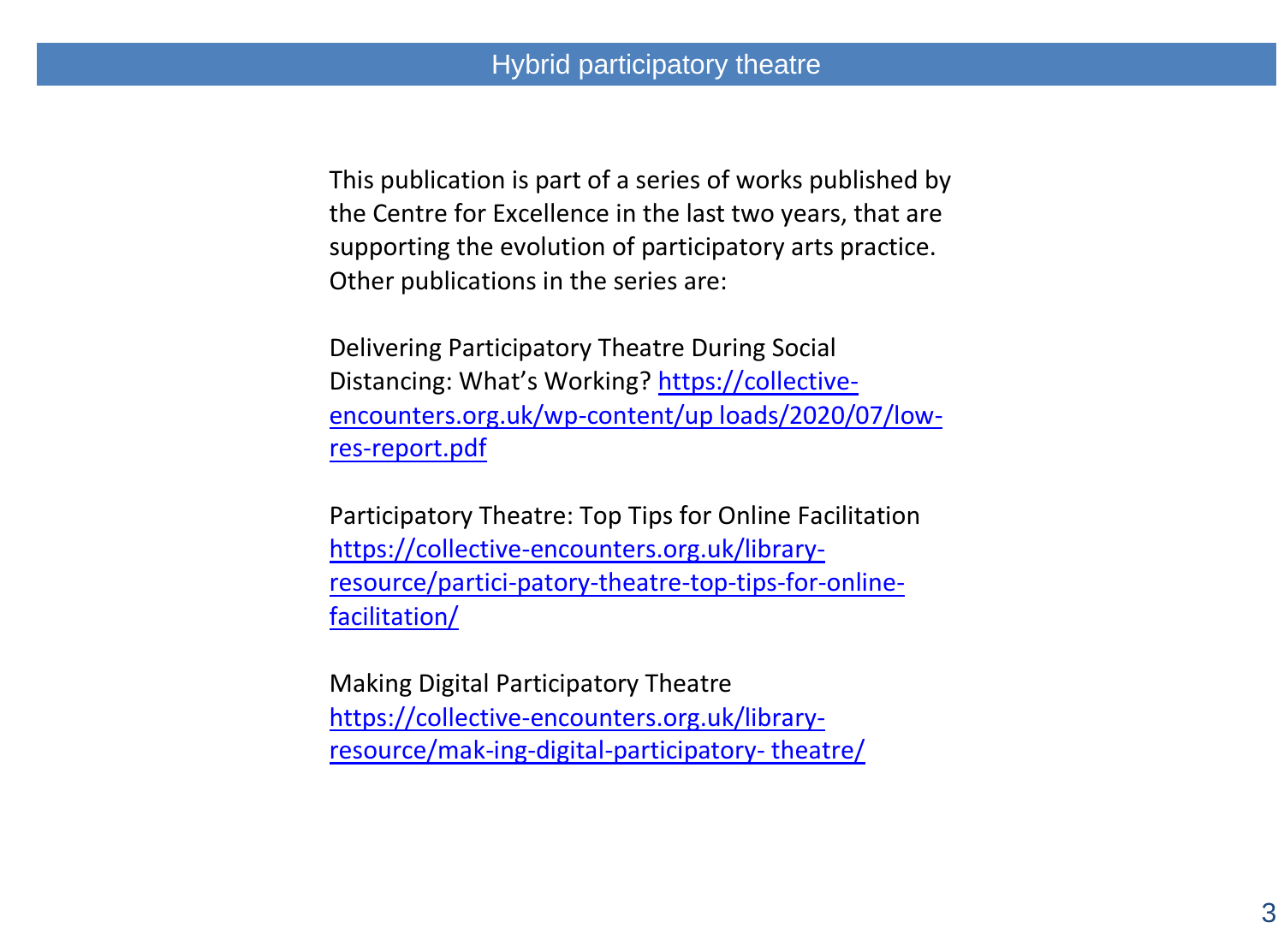This publication is part of a series of works published by the Centre for Excellence in the last two years, that are supporting the evolution of participatory arts practice. Other publications in the series are:

Delivering Participatory Theatre During Social Distancing: What's Working? [https://collective](https://collective-encounters.org.uk/wp-content/up%20loads/2020/07/low-res-report.pdf)[encounters.org.uk/wp-content/up loads/2020/07/low](https://collective-encounters.org.uk/wp-content/up%20loads/2020/07/low-res-report.pdf)[res-report.pdf](https://collective-encounters.org.uk/wp-content/up%20loads/2020/07/low-res-report.pdf)

Participatory Theatre: Top Tips for Online Facilitation [https://collective-encounters.org.uk/library](https://collective-encounters.org.uk/library-resource/partici-patory-theatre-top-tips-for-online-facilitation/?portfolioCats=62)[resource/partici-patory-theatre-top-tips-for-online](https://collective-encounters.org.uk/library-resource/partici-patory-theatre-top-tips-for-online-facilitation/?portfolioCats=62)[facilitation/](https://collective-encounters.org.uk/library-resource/partici-patory-theatre-top-tips-for-online-facilitation/?portfolioCats=62)

Making Digital Participatory Theatre [https://collective-encounters.org.uk/library](https://collective-encounters.org.uk/library-resource/mak-ing-digital-participatory-%20theatre/)[resource/mak-ing-digital-participatory-](https://collective-encounters.org.uk/library-resource/mak-ing-digital-participatory-%20theatre/) theatre/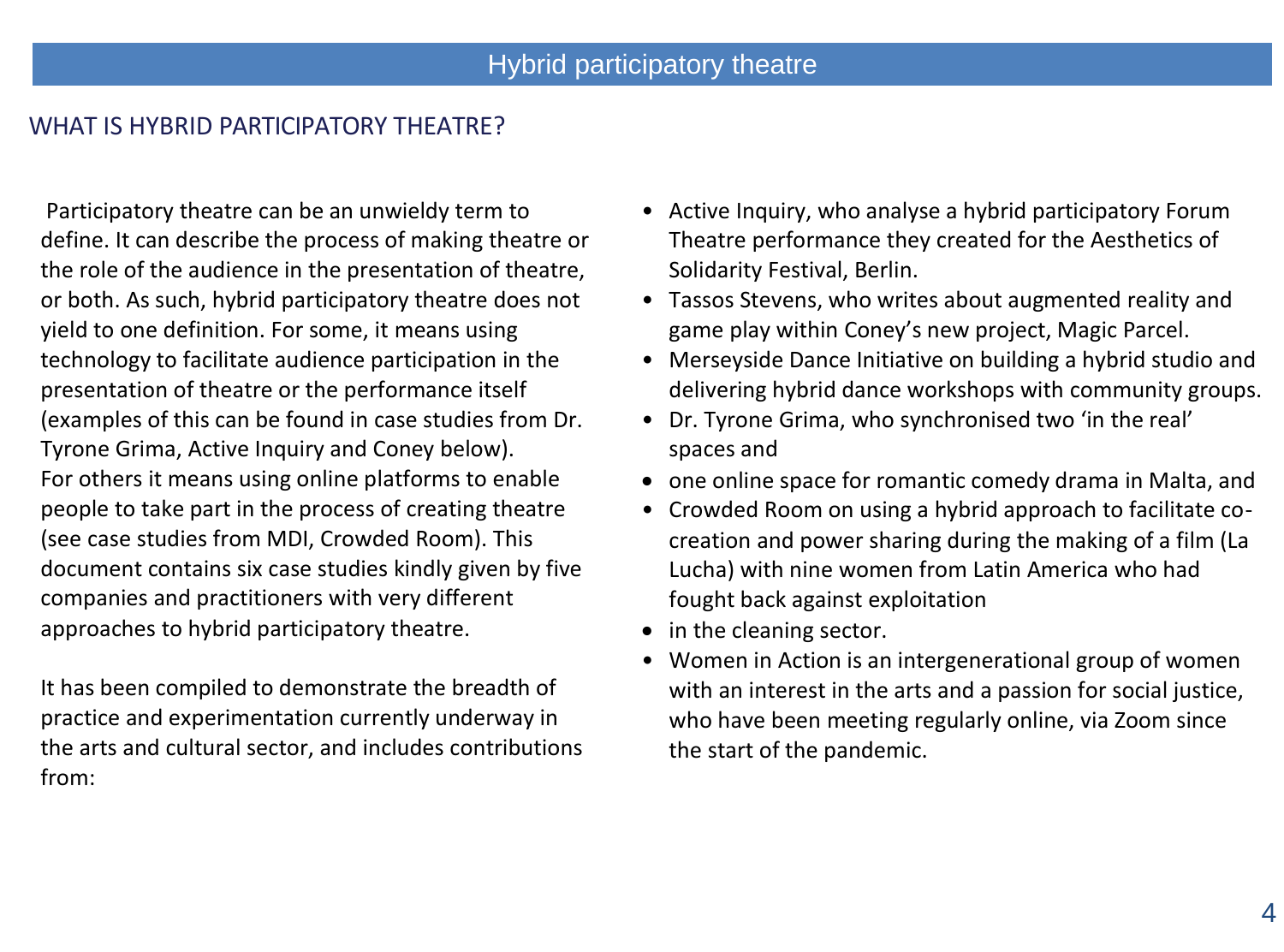#### WHAT IS HYBRID PARTICIPATORY THEATRE?

Participatory theatre can be an unwieldy term to define. It can describe the process of making theatre or the role of the audience in the presentation of theatre, or both. As such, hybrid participatory theatre does not yield to one definition. For some, it means using technology to facilitate audience participation in the presentation of theatre or the performance itself (examples of this can be found in case studies from Dr. Tyrone Grima, Active Inquiry and Coney below). For others it means using online platforms to enable people to take part in the process of creating theatre (see case studies from MDI, Crowded Room). This document contains six case studies kindly given by five companies and practitioners with very different approaches to hybrid participatory theatre.

It has been compiled to demonstrate the breadth of practice and experimentation currently underway in the arts and cultural sector, and includes contributions from:

- Active Inquiry, who analyse a hybrid participatory Forum Theatre performance they created for the Aesthetics of Solidarity Festival, Berlin.
- Tassos Stevens, who writes about augmented reality and game play within Coney's new project, Magic Parcel.
- Merseyside Dance Initiative on building a hybrid studio and delivering hybrid dance workshops with community groups.
- Dr. Tyrone Grima, who synchronised two 'in the real' spaces and
- one online space for romantic comedy drama in Malta, and
- Crowded Room on using a hybrid approach to facilitate cocreation and power sharing during the making of a film (La Lucha) with nine women from Latin America who had fought back against exploitation
- in the cleaning sector.
- Women in Action is an intergenerational group of women with an interest in the arts and a passion for social justice, who have been meeting regularly online, via Zoom since the start of the pandemic.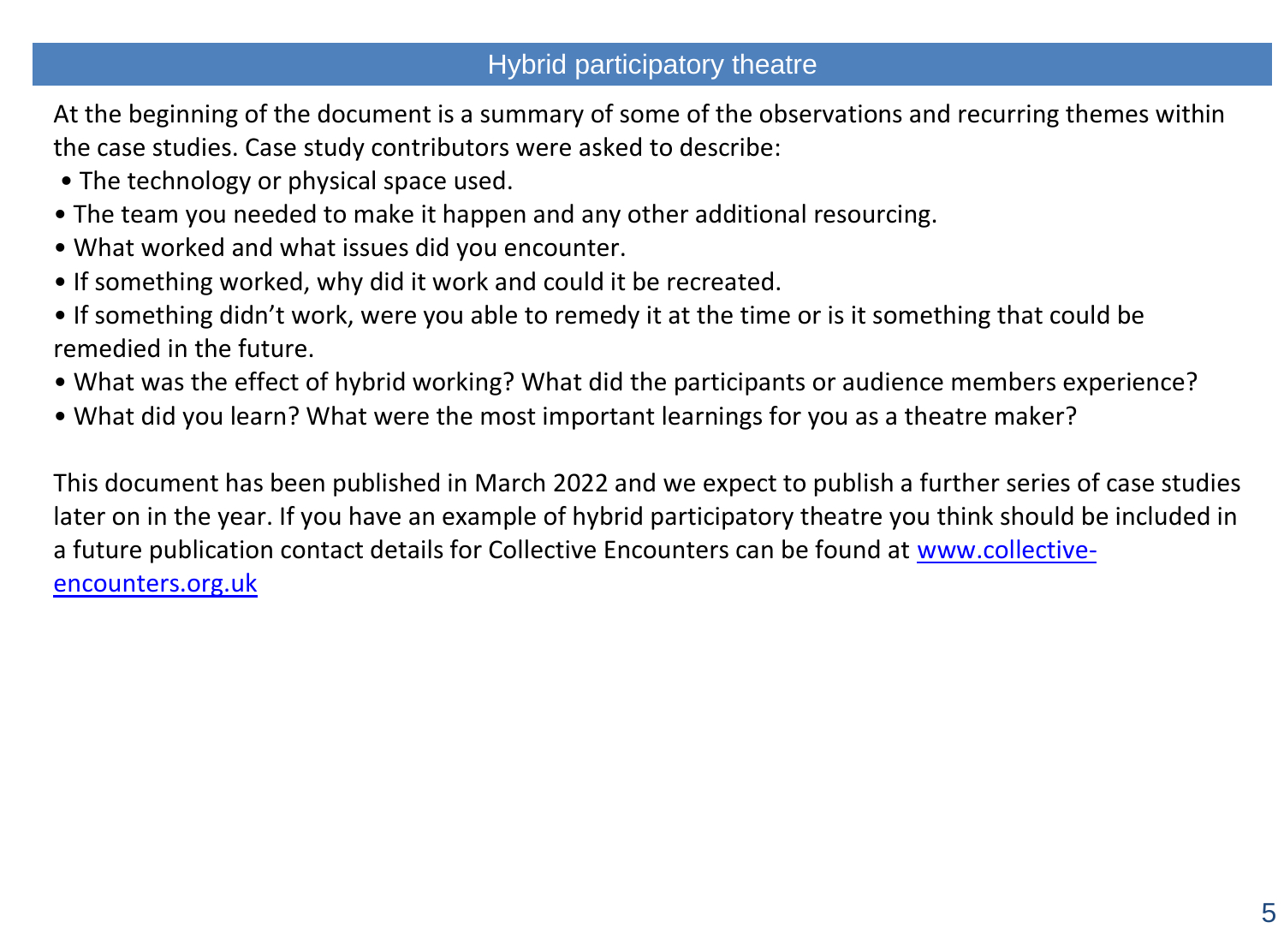At the beginning of the document is a summary of some of the observations and recurring themes within the case studies. Case study contributors were asked to describe:

- The technology or physical space used.
- The team you needed to make it happen and any other additional resourcing.
- What worked and what issues did you encounter.
- If something worked, why did it work and could it be recreated.
- If something didn't work, were you able to remedy it at the time or is it something that could be remedied in the future.
- What was the effect of hybrid working? What did the participants or audience members experience?
- What did you learn? What were the most important learnings for you as a theatre maker?

This document has been published in March 2022 and we expect to publish a further series of case studies later on in the year. If you have an example of hybrid participatory theatre you think should be included in a future publication contact details for Collective Encounters can be found at [www.collective](http://www.collective-encounters.org.uk/)[encounters.org.uk](http://www.collective-encounters.org.uk/)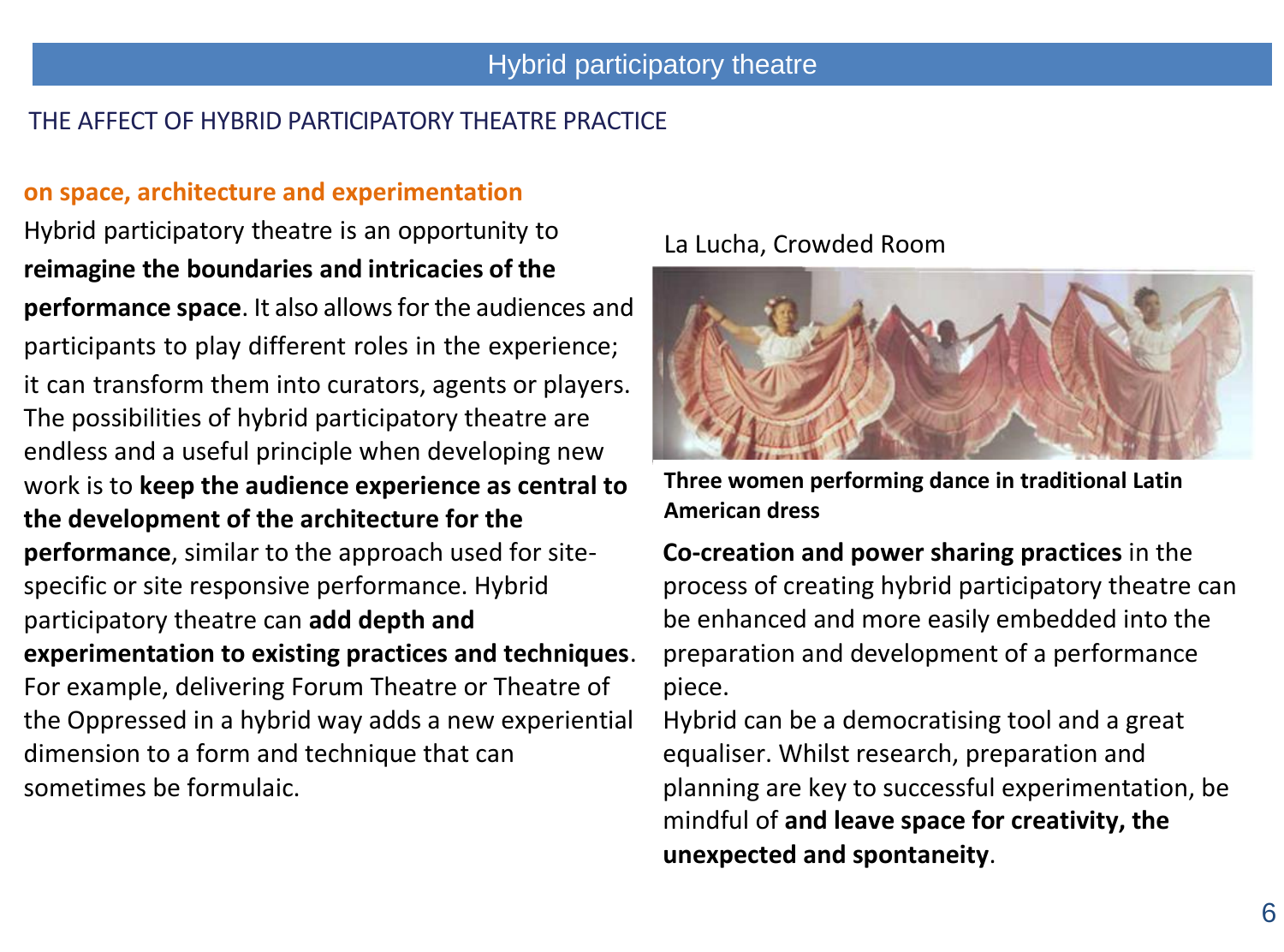### THE AFFECT OF HYBRID PARTICIPATORY THEATRE PRACTICE

# **on space, architecture and experimentation**

Hybrid participatory theatre is an opportunity to **reimagine the boundaries and intricacies of the performance space**. It also allows for the audiences and participants to play different roles in the experience; it can transform them into curators, agents or players. The possibilities of hybrid participatory theatre are endless and a useful principle when developing new work is to **keep the audience experience as central to the development of the architecture for the performance**, similar to the approach used for sitespecific or site responsive performance. Hybrid participatory theatre can **add depth and experimentation to existing practices and techniques**. For example, delivering Forum Theatre or Theatre of the Oppressed in a hybrid way adds a new experiential dimension to a form and technique that can sometimes be formulaic.

### La Lucha, Crowded Room



**Three women performing dance in traditional Latin American dress** 

**Co-creation and power sharing practices** in the process of creating hybrid participatory theatre can be enhanced and more easily embedded into the preparation and development of a performance piece.

Hybrid can be a democratising tool and a great equaliser. Whilst research, preparation and planning are key to successful experimentation, be mindful of **and leave space for creativity, the unexpected and spontaneity**.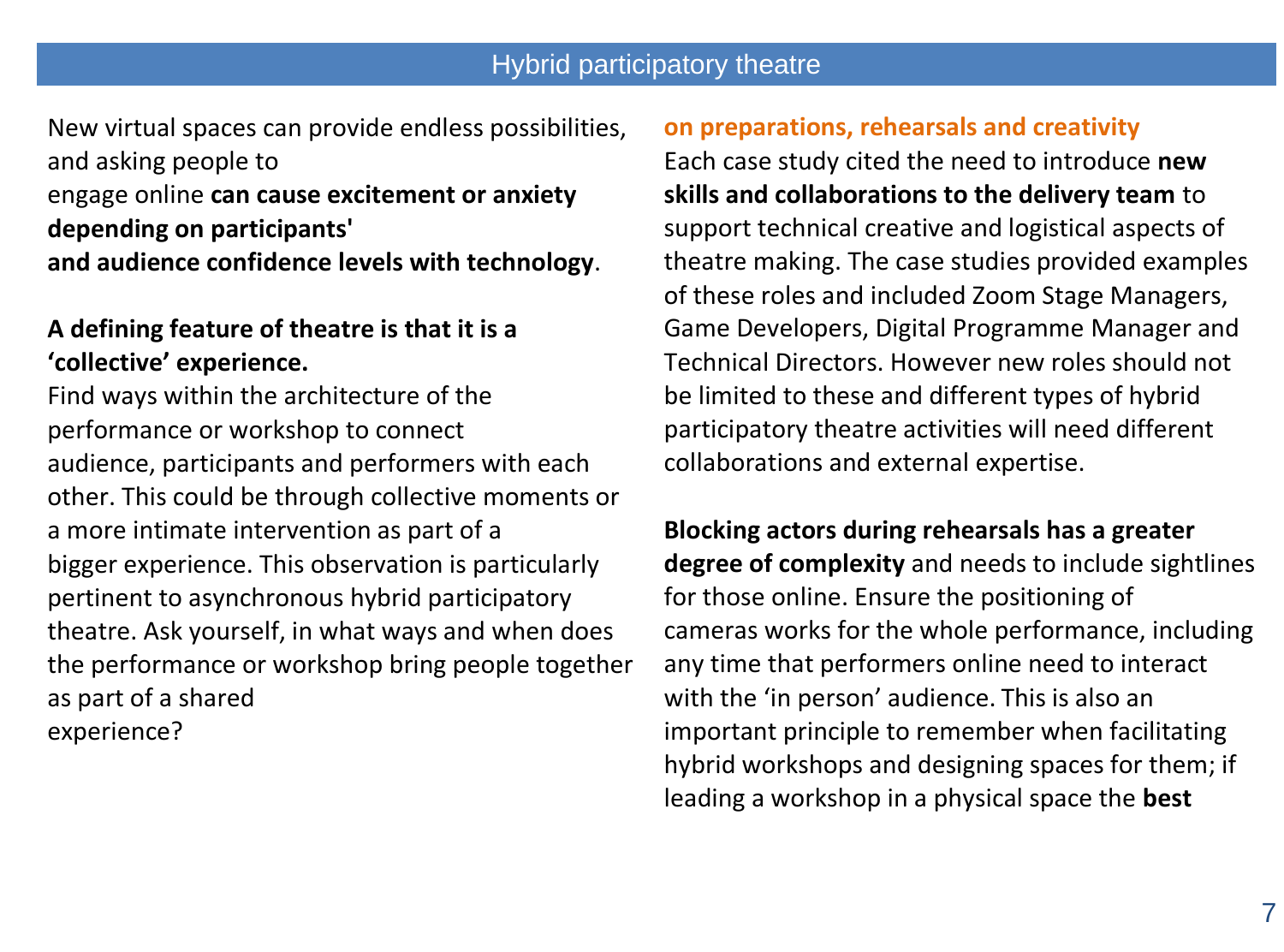New virtual spaces can provide endless possibilities, and asking people to engage online **can cause excitement or anxiety depending on participants' and audience confidence levels with technology**.

# **A defining feature of theatre is that it is a 'collective' experience.**

Find ways within the architecture of the performance or workshop to connect audience, participants and performers with each other. This could be through collective moments or a more intimate intervention as part of a bigger experience. This observation is particularly pertinent to asynchronous hybrid participatory theatre. Ask yourself, in what ways and when does the performance or workshop bring people together as part of a shared experience?

### **on preparations, rehearsals and creativity**

Each case study cited the need to introduce **new skills and collaborations to the delivery team** to support technical creative and logistical aspects of theatre making. The case studies provided examples of these roles and included Zoom Stage Managers, Game Developers, Digital Programme Manager and Technical Directors. However new roles should not be limited to these and different types of hybrid participatory theatre activities will need different collaborations and external expertise.

#### **Blocking actors during rehearsals has a greater**

**degree of complexity** and needs to include sightlines for those online. Ensure the positioning of cameras works for the whole performance, including any time that performers online need to interact with the 'in person' audience. This is also an important principle to remember when facilitating hybrid workshops and designing spaces for them; if leading a workshop in a physical space the **best**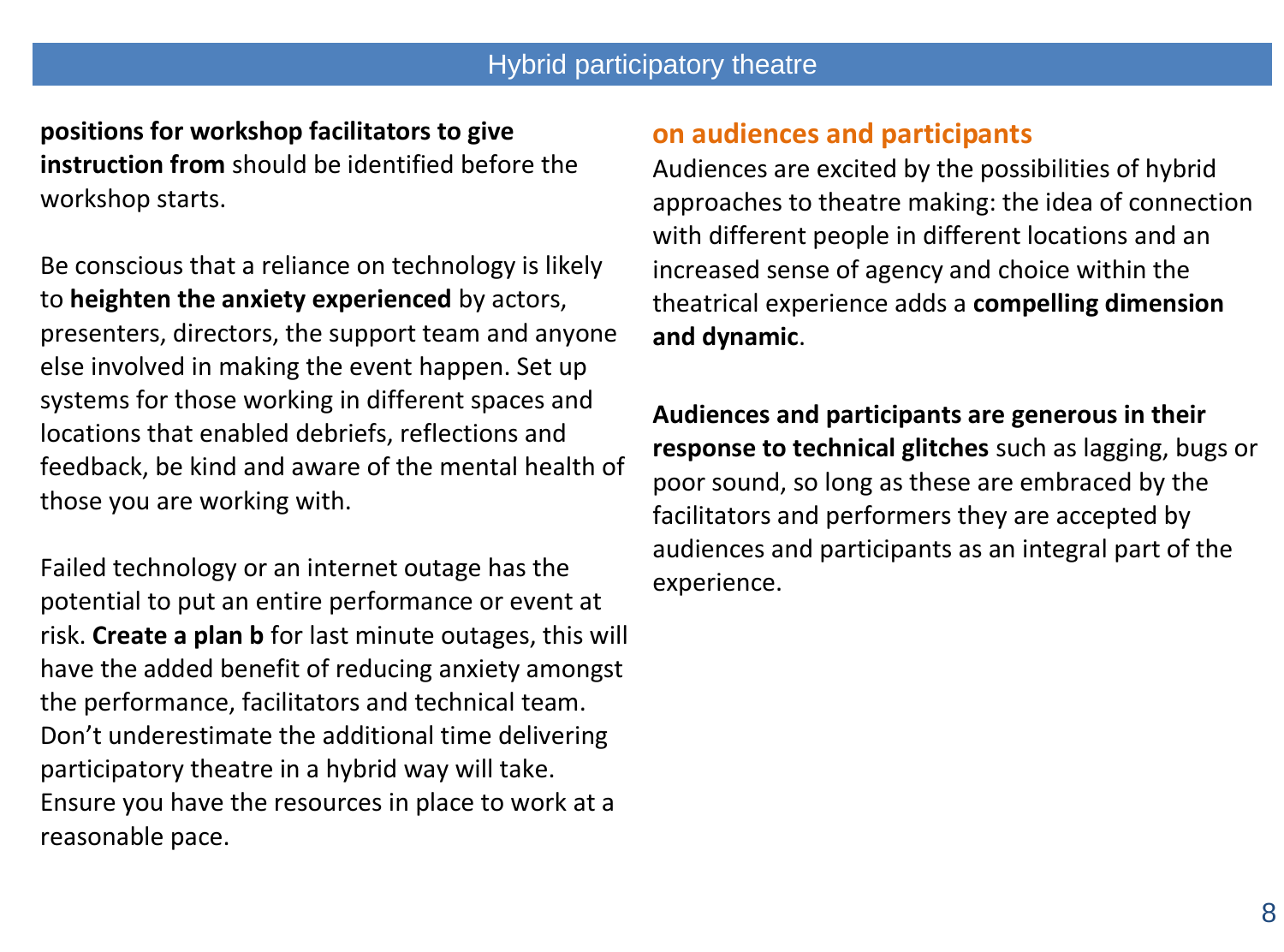**positions for workshop facilitators to give instruction from** should be identified before the workshop starts.

Be conscious that a reliance on technology is likely to **heighten the anxiety experienced** by actors, presenters, directors, the support team and anyone else involved in making the event happen. Set up systems for those working in different spaces and locations that enabled debriefs, reflections and feedback, be kind and aware of the mental health of those you are working with.

Failed technology or an internet outage has the potential to put an entire performance or event at risk. **Create a plan b** for last minute outages, this will have the added benefit of reducing anxiety amongst the performance, facilitators and technical team. Don't underestimate the additional time delivering participatory theatre in a hybrid way will take. Ensure you have the resources in place to work at a reasonable pace.

# **on audiences and participants**

Audiences are excited by the possibilities of hybrid approaches to theatre making: the idea of connection with different people in different locations and an increased sense of agency and choice within the theatrical experience adds a **compelling dimension and dynamic**.

**Audiences and participants are generous in their response to technical glitches** such as lagging, bugs or poor sound, so long as these are embraced by the facilitators and performers they are accepted by audiences and participants as an integral part of the experience.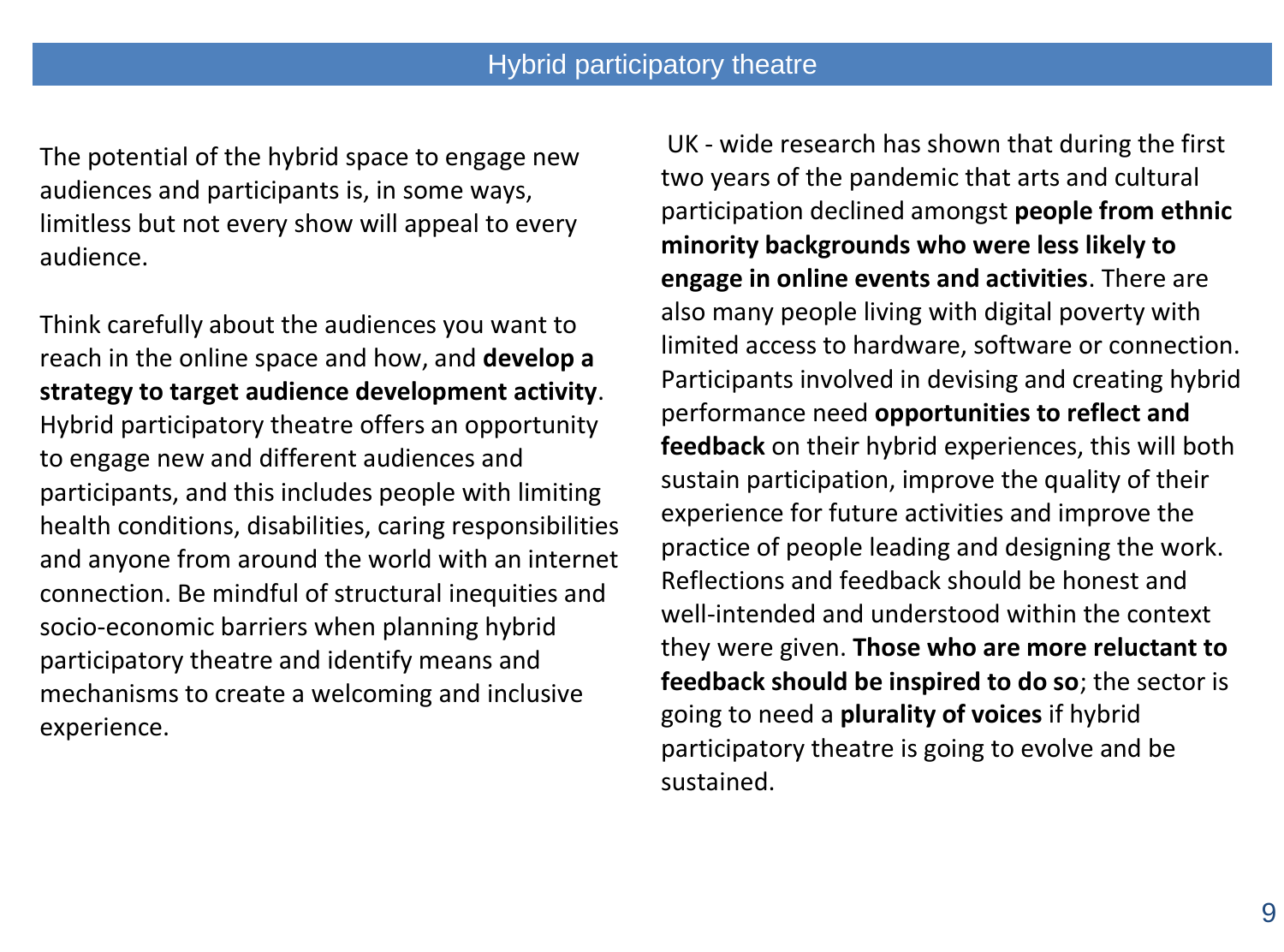The potential of the hybrid space to engage new audiences and participants is, in some ways, limitless but not every show will appeal to every audience.

Think carefully about the audiences you want to reach in the online space and how, and **develop a strategy to target audience development activity**. Hybrid participatory theatre offers an opportunity to engage new and different audiences and participants, and this includes people with limiting health conditions, disabilities, caring responsibilities and anyone from around the world with an internet connection. Be mindful of structural inequities and socio-economic barriers when planning hybrid participatory theatre and identify means and mechanisms to create a welcoming and inclusive experience.

UK - wide research has shown that during the first two years of the pandemic that arts and cultural participation declined amongst **people from ethnic minority backgrounds who were less likely to engage in online events and activities**. There are also many people living with digital poverty with limited access to hardware, software or connection. Participants involved in devising and creating hybrid performance need **opportunities to reflect and feedback** on their hybrid experiences, this will both sustain participation, improve the quality of their experience for future activities and improve the practice of people leading and designing the work. Reflections and feedback should be honest and well-intended and understood within the context they were given. **Those who are more reluctant to feedback should be inspired to do so**; the sector is going to need a **plurality of voices** if hybrid participatory theatre is going to evolve and be sustained.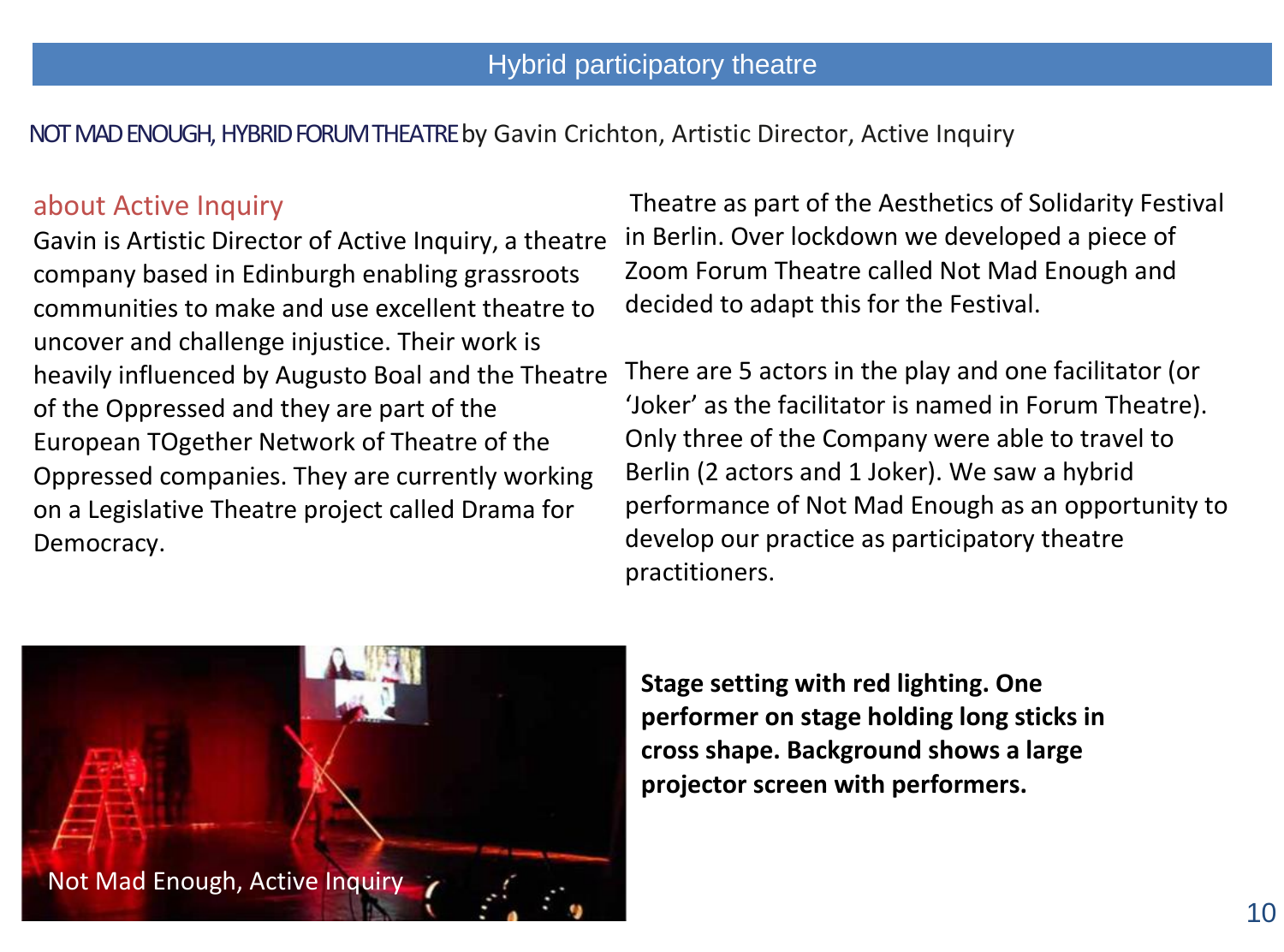NOTMADENOUGH,HYBRIDFORUMTHEATREby Gavin Crichton, Artistic Director, Active Inquiry

### about Active Inquiry

Gavin is Artistic Director of Active Inquiry, a theatre company based in Edinburgh enabling grassroots communities to make and use excellent theatre to uncover and challenge injustice. Their work is heavily influenced by Augusto Boal and the Theatre of the Oppressed and they are part of the European TOgether Network of Theatre of the Oppressed companies. They are currently working on a Legislative Theatre project called Drama for Democracy.

Theatre as part of the Aesthetics of Solidarity Festival in Berlin. Over lockdown we developed a piece of Zoom Forum Theatre called Not Mad Enough and decided to adapt this for the Festival.

There are 5 actors in the play and one facilitator (or 'Joker' as the facilitator is named in Forum Theatre). Only three of the Company were able to travel to Berlin (2 actors and 1 Joker). We saw a hybrid performance of Not Mad Enough as an opportunity to develop our practice as participatory theatre practitioners.



**Stage setting with red lighting. One performer on stage holding long sticks in cross shape. Background shows a large projector screen with performers.**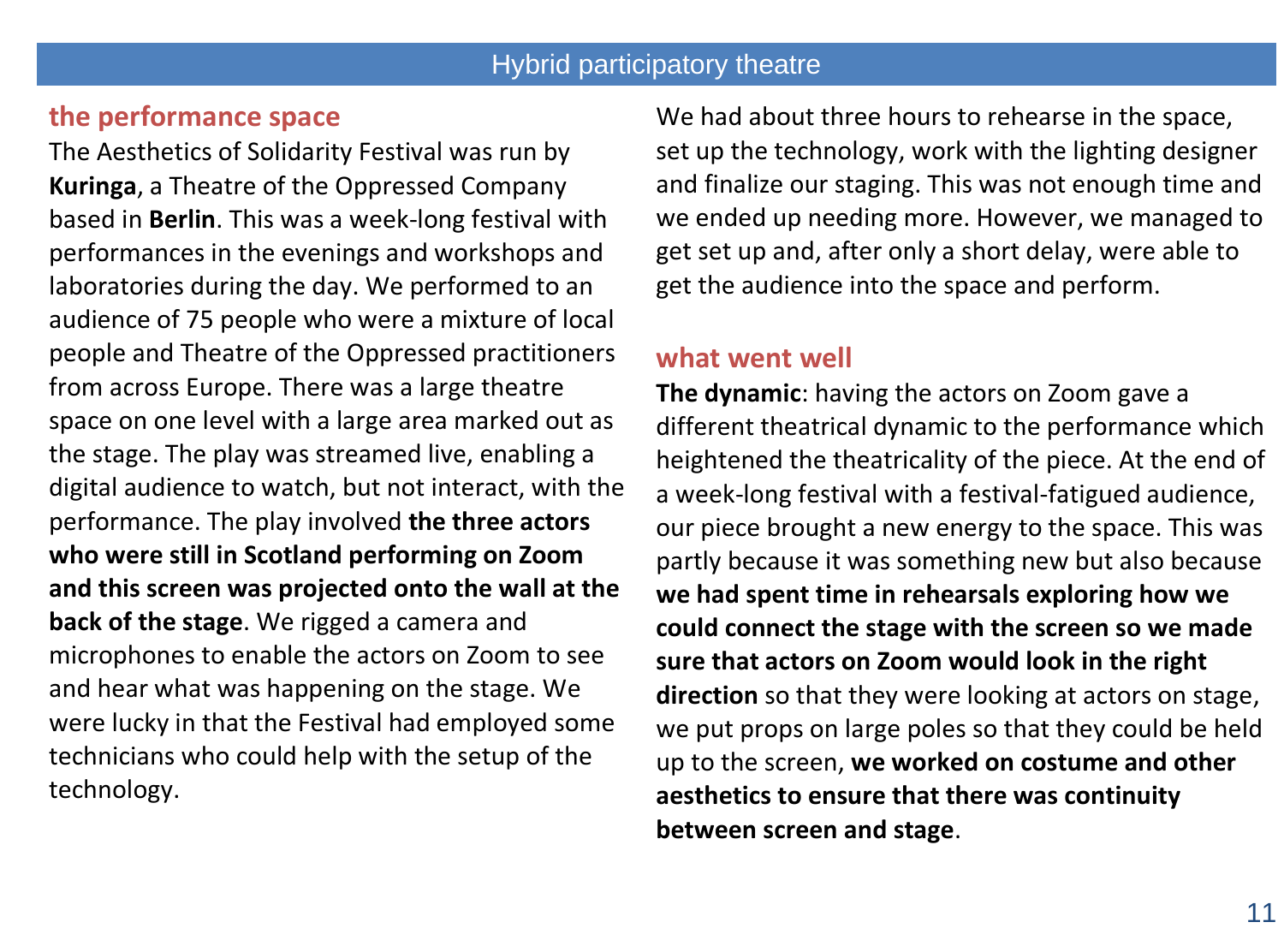### **the performance space**

The Aesthetics of Solidarity Festival was run by **Kuringa**, a Theatre of the Oppressed Company based in **Berlin**. This was a week-long festival with performances in the evenings and workshops and laboratories during the day. We performed to an audience of 75 people who were a mixture of local people and Theatre of the Oppressed practitioners from across Europe. There was a large theatre space on one level with a large area marked out as the stage. The play was streamed live, enabling a digital audience to watch, but not interact, with the performance. The play involved **the three actors who were still in Scotland performing on Zoom and this screen was projected onto the wall at the back of the stage**. We rigged a camera and microphones to enable the actors on Zoom to see and hear what was happening on the stage. We were lucky in that the Festival had employed some technicians who could help with the setup of the technology.

We had about three hours to rehearse in the space, set up the technology, work with the lighting designer and finalize our staging. This was not enough time and we ended up needing more. However, we managed to get set up and, after only a short delay, were able to get the audience into the space and perform.

#### **what went well**

**The dynamic**: having the actors on Zoom gave a different theatrical dynamic to the performance which heightened the theatricality of the piece. At the end of a week-long festival with a festival-fatigued audience, our piece brought a new energy to the space. This was partly because it was something new but also because **we had spent time in rehearsals exploring how we could connect the stage with the screen so we made sure that actors on Zoom would look in the right direction** so that they were looking at actors on stage, we put props on large poles so that they could be held up to the screen, **we worked on costume and other aesthetics to ensure that there was continuity between screen and stage**.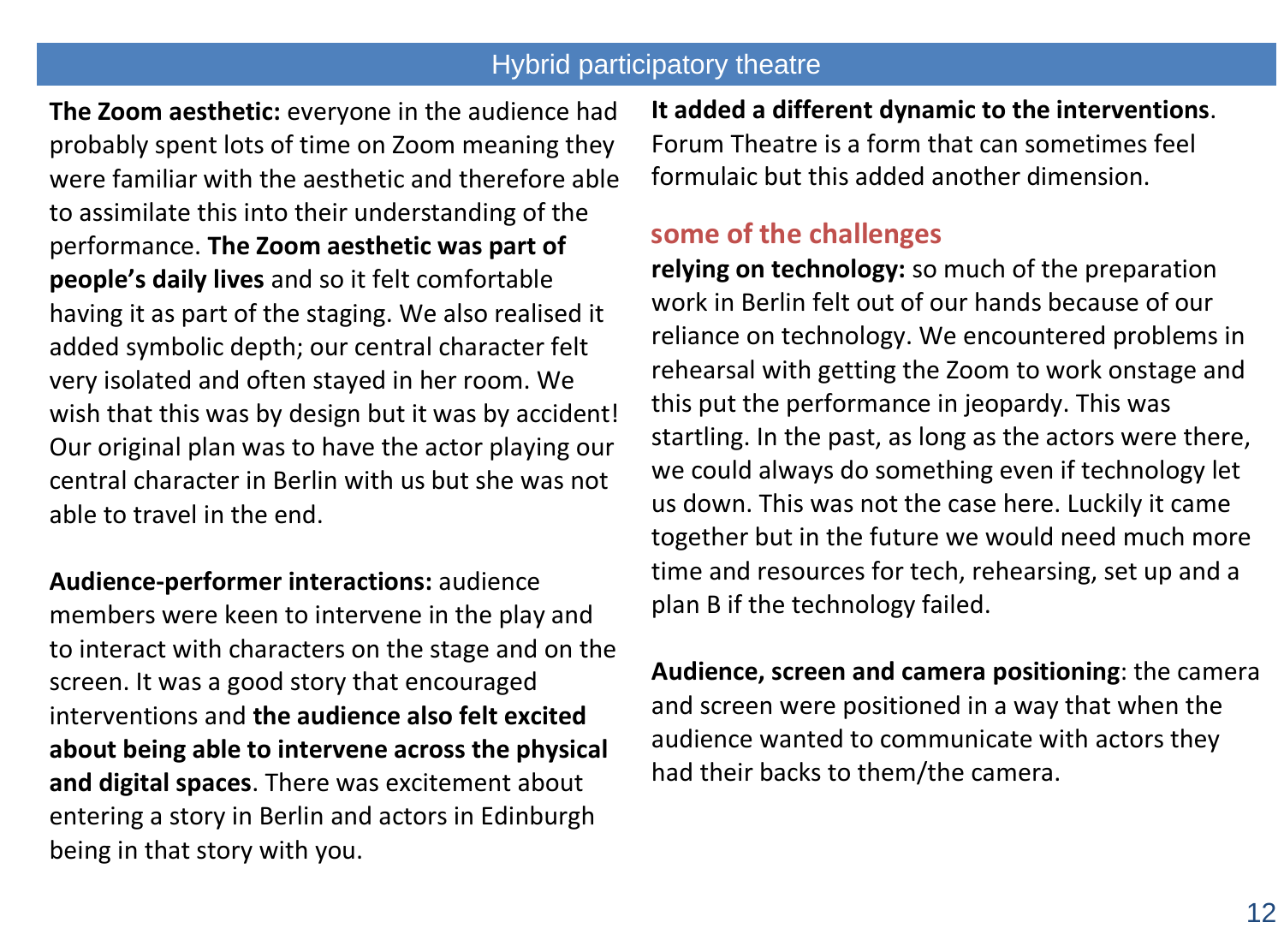**The Zoom aesthetic:** everyone in the audience had probably spent lots of time on Zoom meaning they were familiar with the aesthetic and therefore able to assimilate this into their understanding of the performance. **The Zoom aesthetic was part of people's daily lives** and so it felt comfortable having it as part of the staging. We also realised it added symbolic depth; our central character felt very isolated and often stayed in her room. We wish that this was by design but it was by accident! Our original plan was to have the actor playing our central character in Berlin with us but she was not able to travel in the end.

**Audience-performer interactions:** audience members were keen to intervene in the play and to interact with characters on the stage and on the screen. It was a good story that encouraged interventions and **the audience also felt excited about being able to intervene across the physical and digital spaces**. There was excitement about entering a story in Berlin and actors in Edinburgh being in that story with you.

**It added a different dynamic to the interventions**. Forum Theatre is a form that can sometimes feel formulaic but this added another dimension.

## **some of the challenges**

**relying on technology:** so much of the preparation work in Berlin felt out of our hands because of our reliance on technology. We encountered problems in rehearsal with getting the Zoom to work onstage and this put the performance in jeopardy. This was startling. In the past, as long as the actors were there, we could always do something even if technology let us down. This was not the case here. Luckily it came together but in the future we would need much more time and resources for tech, rehearsing, set up and a plan B if the technology failed.

**Audience, screen and camera positioning**: the camera and screen were positioned in a way that when the audience wanted to communicate with actors they had their backs to them/the camera.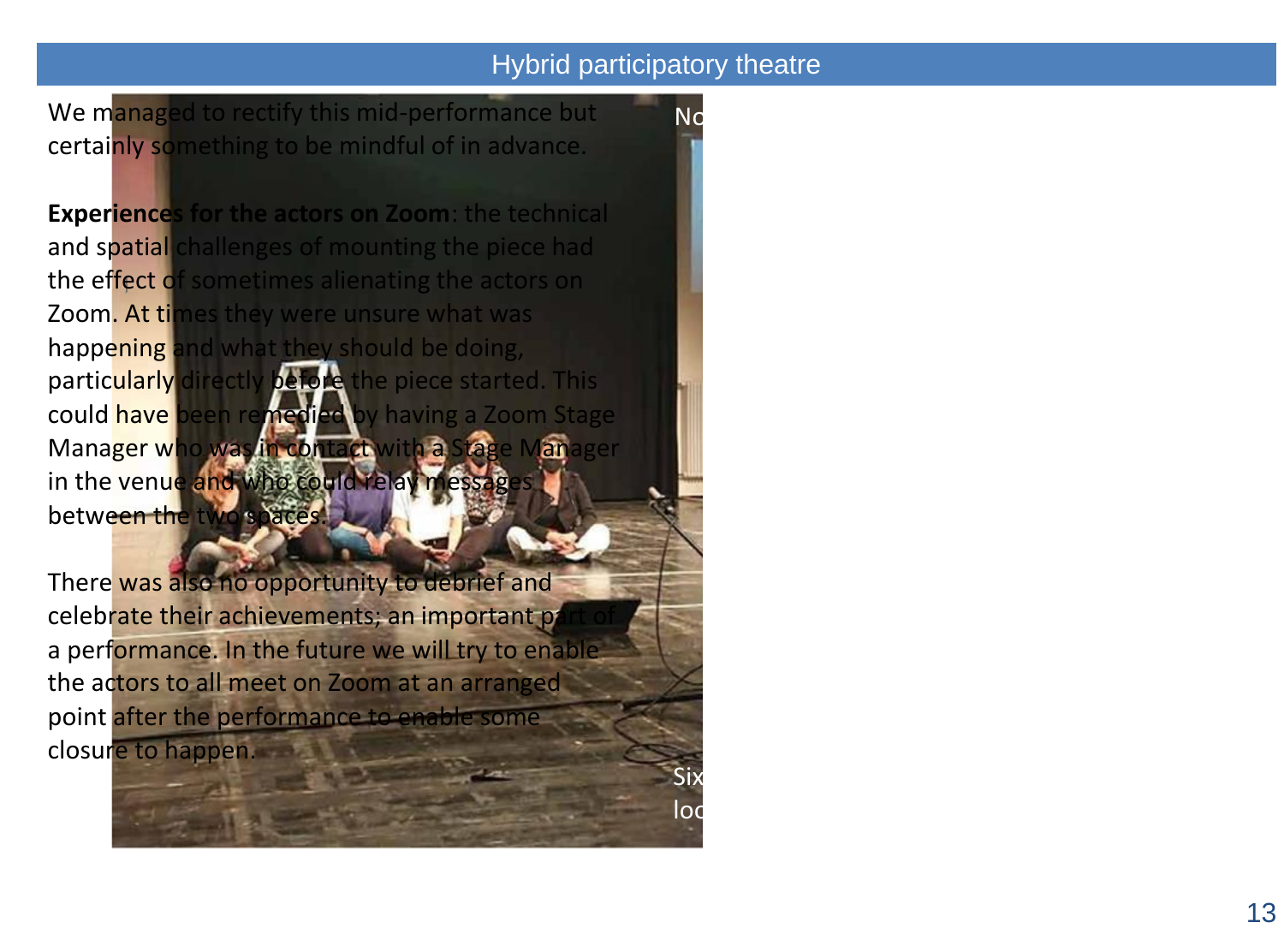Not Mad Enough, Active Inquiry, Active Inquiry, Active Inquiry, Active Inquiry, Active Inquiry, Active Inquiry, Active Inquiry, Active Inquiry, Active Inquiry, Active Inquiry, Active Inquiry, Active Inquiry, Active Inquiry

 $\mathsf{Six}$ 

looking into laptop.

We managed to rectify this mid-performance but certainly something to be mindful of in advance.

**Experiences for the actors on Zoom**: the technical and spatial challenges of mounting the piece had the effect of sometimes alienating the actors on Zoom. At times they were unsure what was happening and what they should be doing, particularly directly before the piece started. This could have been remedied by having a Zoom Stage Manager who was in contact with a Stage Manager in the venue and who could relay message between the two spaces.

There was also no opportunity to debrief and celebrate their achievements; an important pa a performance. In the future we will try to enable the actors to all meet on Zoom at an arranged point after the performance to enable some closure to happen.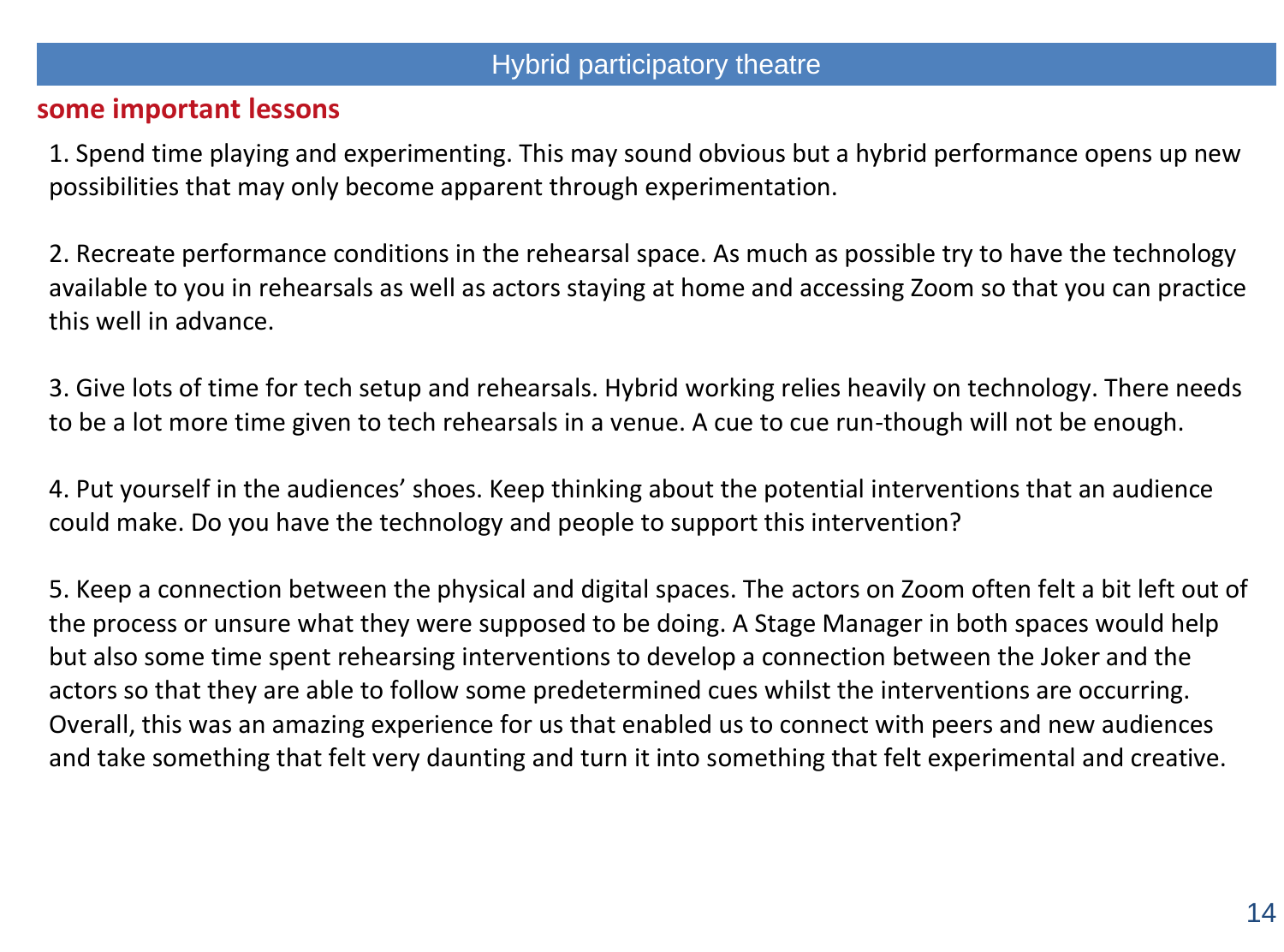#### **some important lessons**

1. Spend time playing and experimenting. This may sound obvious but a hybrid performance opens up new possibilities that may only become apparent through experimentation.

2. Recreate performance conditions in the rehearsal space. As much as possible try to have the technology available to you in rehearsals as well as actors staying at home and accessing Zoom so that you can practice this well in advance.

3. Give lots of time for tech setup and rehearsals. Hybrid working relies heavily on technology. There needs to be a lot more time given to tech rehearsals in a venue. A cue to cue run-though will not be enough.

4. Put yourself in the audiences' shoes. Keep thinking about the potential interventions that an audience could make. Do you have the technology and people to support this intervention?

5. Keep a connection between the physical and digital spaces. The actors on Zoom often felt a bit left out of the process or unsure what they were supposed to be doing. A Stage Manager in both spaces would help but also some time spent rehearsing interventions to develop a connection between the Joker and the actors so that they are able to follow some predetermined cues whilst the interventions are occurring. Overall, this was an amazing experience for us that enabled us to connect with peers and new audiences and take something that felt very daunting and turn it into something that felt experimental and creative.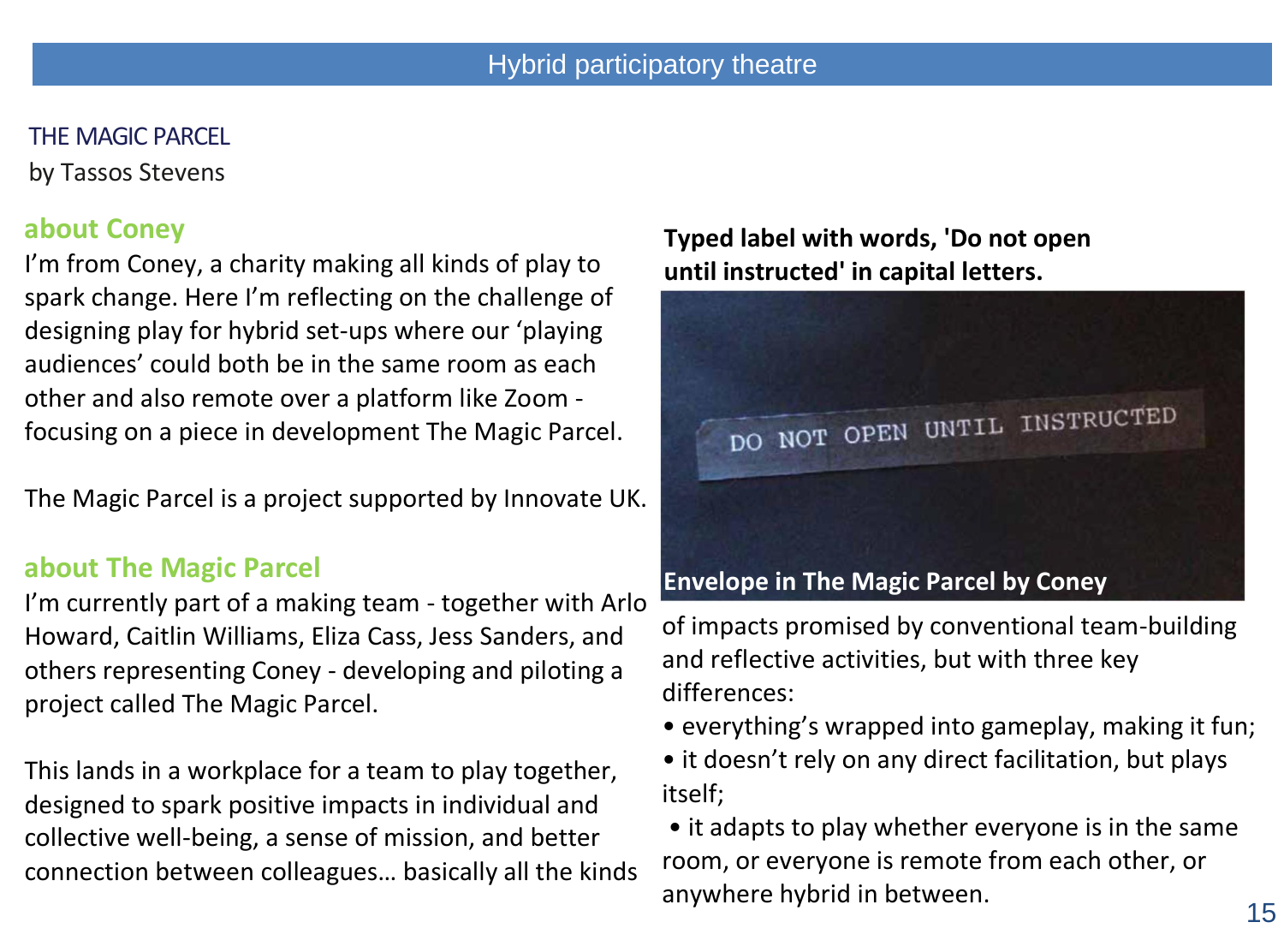### THE MAGIC PARCEL by Tassos Stevens

# **about Coney**

I'm from Coney, a charity making all kinds of play to spark change. Here I'm reflecting on the challenge of designing play for hybrid set-ups where our 'playing audiences' could both be in the same room as each other and also remote over a platform like Zoom focusing on a piece in development The Magic Parcel.

The Magic Parcel is a project supported by Innovate UK.

## **about The Magic Parcel**

I'm currently part of a making team - together with Arlo Howard, Caitlin Williams, Eliza Cass, Jess Sanders, and others representing Coney - developing and piloting a project called The Magic Parcel.

This lands in a workplace for a team to play together, designed to spark positive impacts in individual and collective well-being, a sense of mission, and better connection between colleagues… basically all the kinds

### **Typed label with words, 'Do not open until instructed' in capital letters.**



of impacts promised by conventional team-building and reflective activities, but with three key differences:

- everything's wrapped into gameplay, making it fun;
- it doesn't rely on any direct facilitation, but plays itself;

• it adapts to play whether everyone is in the same room, or everyone is remote from each other, or anywhere hybrid in between.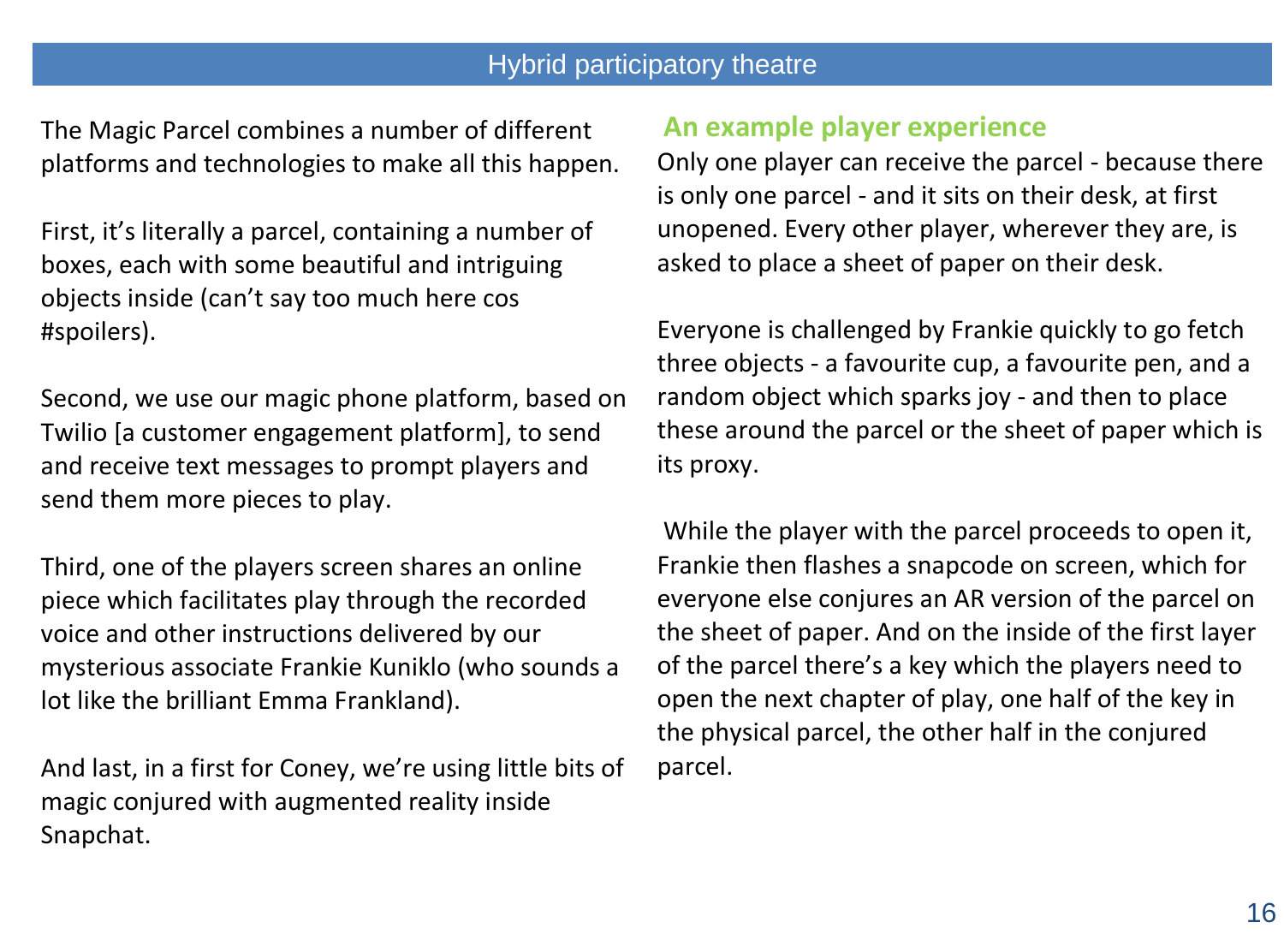The Magic Parcel combines a number of different platforms and technologies to make all this happen.

First, it's literally a parcel, containing a number of boxes, each with some beautiful and intriguing objects inside (can't say too much here cos #spoilers).

Second, we use our magic phone platform, based on Twilio [a customer engagement platform], to send and receive text messages to prompt players and send them more pieces to play.

Third, one of the players screen shares an online piece which facilitates play through the recorded voice and other instructions delivered by our mysterious associate Frankie Kuniklo (who sounds a lot like the brilliant Emma Frankland).

And last, in a first for Coney, we're using little bits of magic conjured with augmented reality inside Snapchat.

## **An example player experience**

Only one player can receive the parcel - because there is only one parcel - and it sits on their desk, at first unopened. Every other player, wherever they are, is asked to place a sheet of paper on their desk.

Everyone is challenged by Frankie quickly to go fetch three objects - a favourite cup, a favourite pen, and a random object which sparks joy - and then to place these around the parcel or the sheet of paper which is its proxy.

While the player with the parcel proceeds to open it, Frankie then flashes a snapcode on screen, which for everyone else conjures an AR version of the parcel on the sheet of paper. And on the inside of the first layer of the parcel there's a key which the players need to open the next chapter of play, one half of the key in the physical parcel, the other half in the conjured parcel.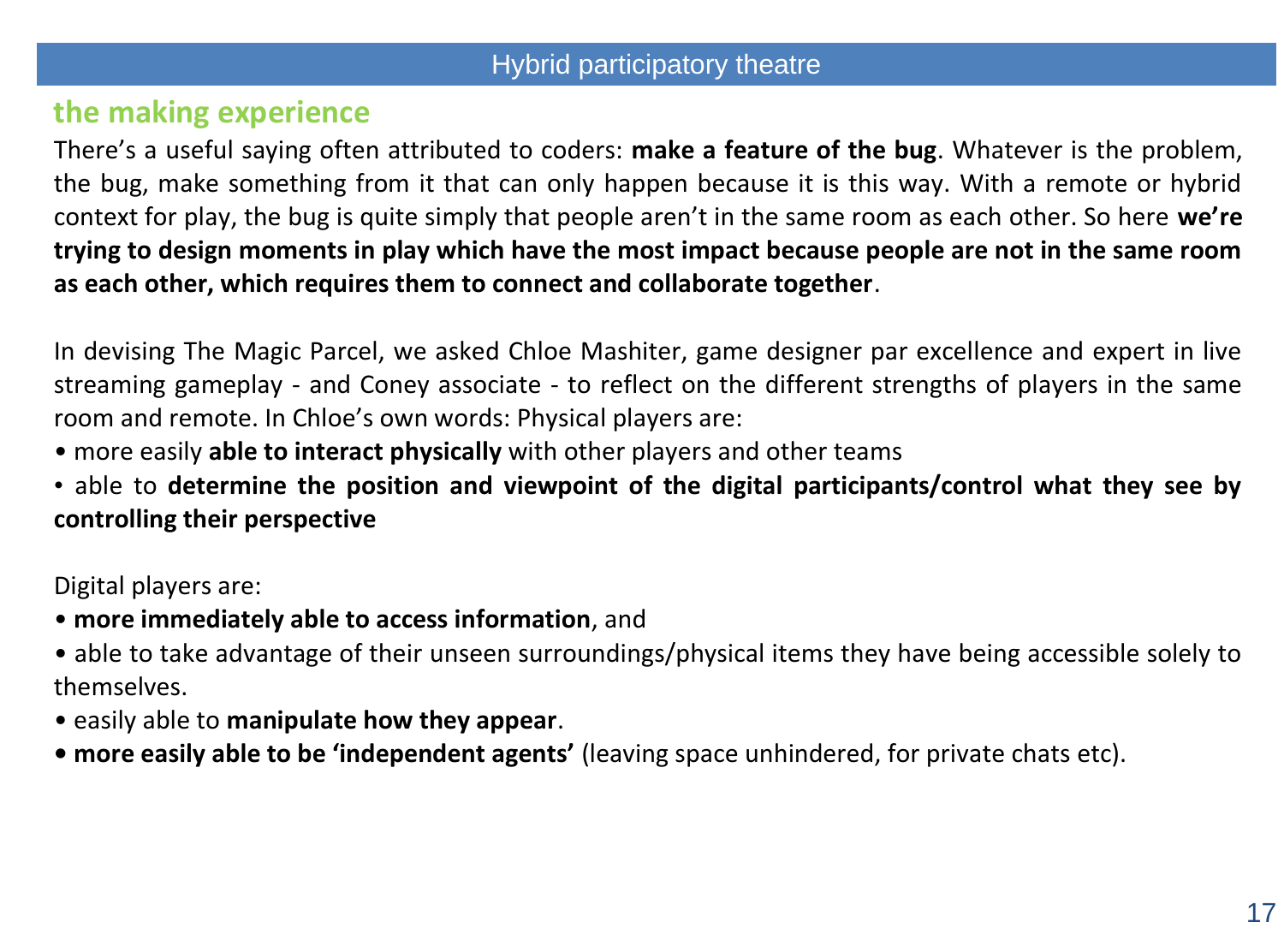# **the making experience**

There's a useful saying often attributed to coders: **make a feature of the bug**. Whatever is the problem, the bug, make something from it that can only happen because it is this way. With a remote or hybrid context for play, the bug is quite simply that people aren't in the same room as each other. So here **we're trying to design moments in play which have the most impact because people are not in the same room as each other, which requires them to connect and collaborate together**.

In devising The Magic Parcel, we asked Chloe Mashiter, game designer par excellence and expert in live streaming gameplay - and Coney associate - to reflect on the different strengths of players in the same room and remote. In Chloe's own words: Physical players are:

• more easily **able to interact physically** with other players and other teams

• able to **determine the position and viewpoint of the digital participants/control what they see by controlling their perspective**

Digital players are:

- **more immediately able to access information**, and
- able to take advantage of their unseen surroundings/physical items they have being accessible solely to themselves.
- easily able to **manipulate how they appear**.
- **more easily able to be 'independent agents'** (leaving space unhindered, for private chats etc).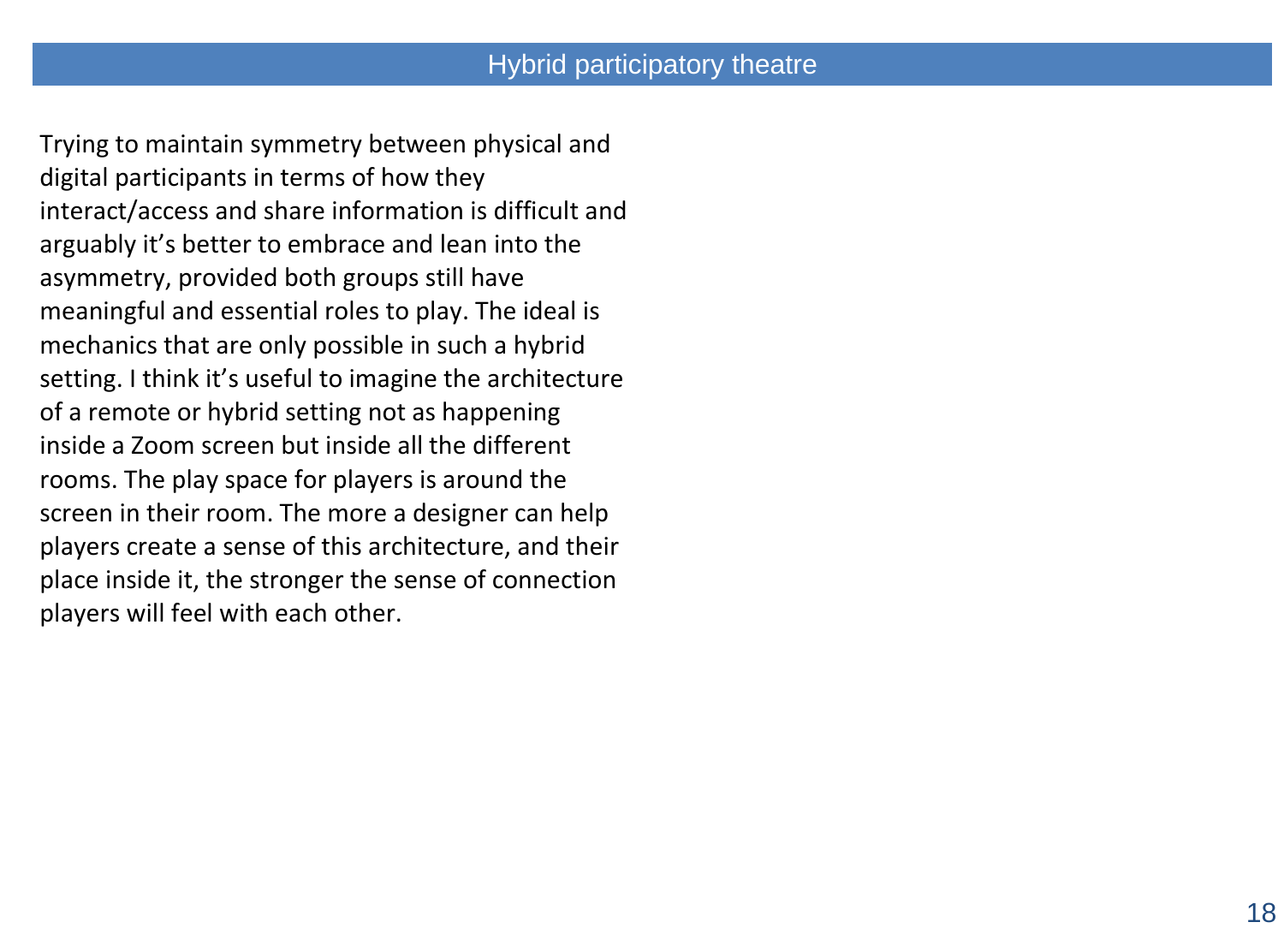Trying to maintain symmetry between physical and digital participants in terms of how they interact/access and share information is difficult and arguably it's better to embrace and lean into the asymmetry, provided both groups still have meaningful and essential roles to play. The ideal is mechanics that are only possible in such a hybrid setting. I think it's useful to imagine the architecture of a remote or hybrid setting not as happening inside a Zoom screen but inside all the different rooms. The play space for players is around the screen in their room. The more a designer can help players create a sense of this architecture, and their place inside it, the stronger the sense of connection players will feel with each other.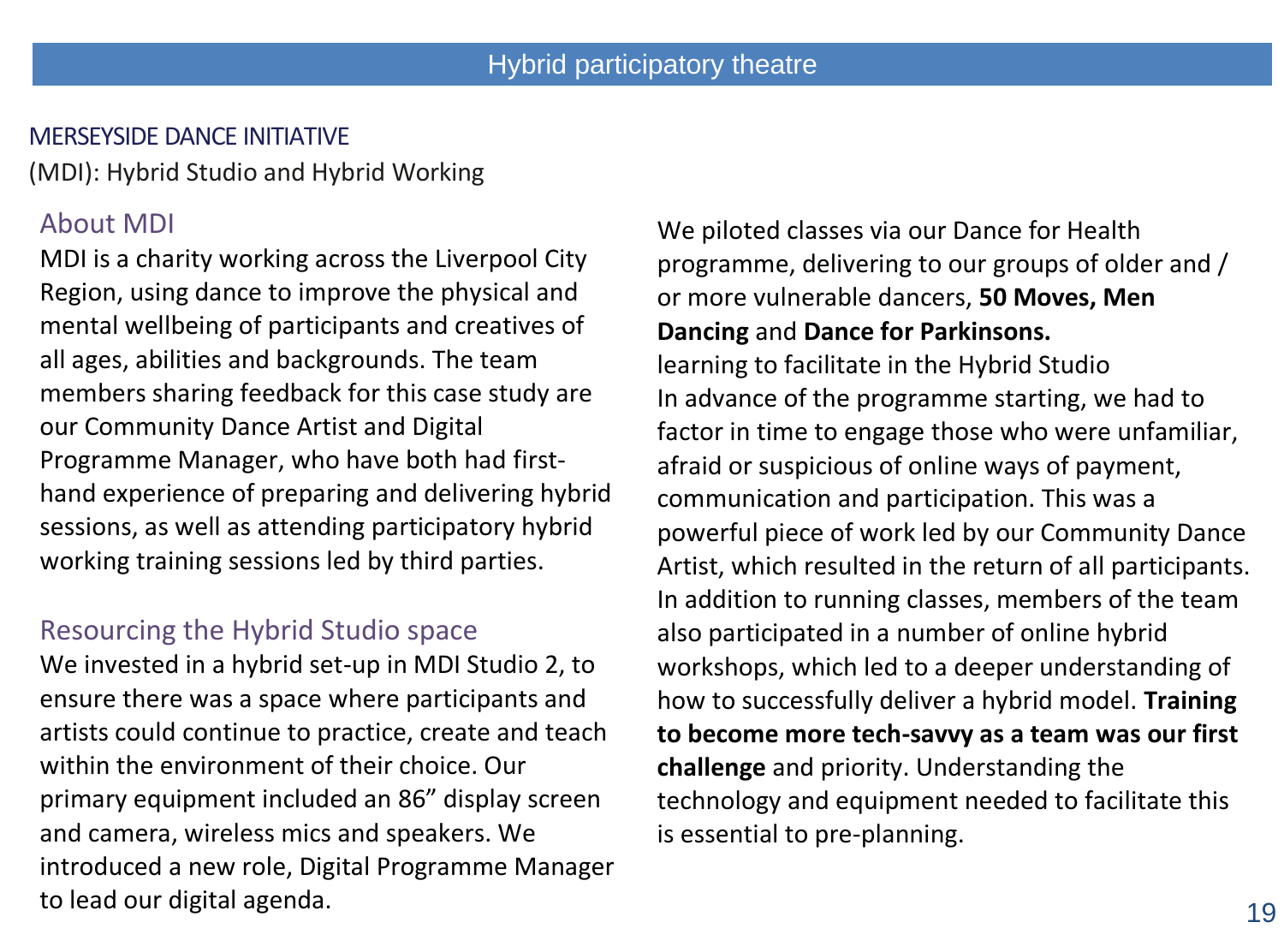### MERSEYSIDE DANCE INITIATIVE

(MDI): Hybrid Studio and Hybrid Working

# About MDI

MDI is a charity working across the Liverpool City Region, using dance to improve the physical and mental wellbeing of participants and creatives of all ages, abilities and backgrounds. The team members sharing feedback for this case study are our Community Dance Artist and Digital Programme Manager, who have both had firsthand experience of preparing and delivering hybrid sessions, as well as attending participatory hybrid working training sessions led by third parties.

# Resourcing the Hybrid Studio space

We invested in a hybrid set-up in MDI Studio 2, to ensure there was a space where participants and artists could continue to practice, create and teach within the environment of their choice. Our primary equipment included an 86" display screen and camera, wireless mics and speakers. We introduced a new role, Digital Programme Manager to lead our digital agenda.

We piloted classes via our Dance for Health programme, delivering to our groups of older and / or more vulnerable dancers, **50 Moves, Men Dancing** and **Dance for Parkinsons.** learning to facilitate in the Hybrid Studio In advance of the programme starting, we had to factor in time to engage those who were unfamiliar, afraid or suspicious of online ways of payment, communication and participation. This was a powerful piece of work led by our Community Dance Artist, which resulted in the return of all participants. In addition to running classes, members of the team also participated in a number of online hybrid workshops, which led to a deeper understanding of how to successfully deliver a hybrid model. **Training to become more tech-savvy as a team was our first challenge** and priority. Understanding the technology and equipment needed to facilitate this is essential to pre-planning.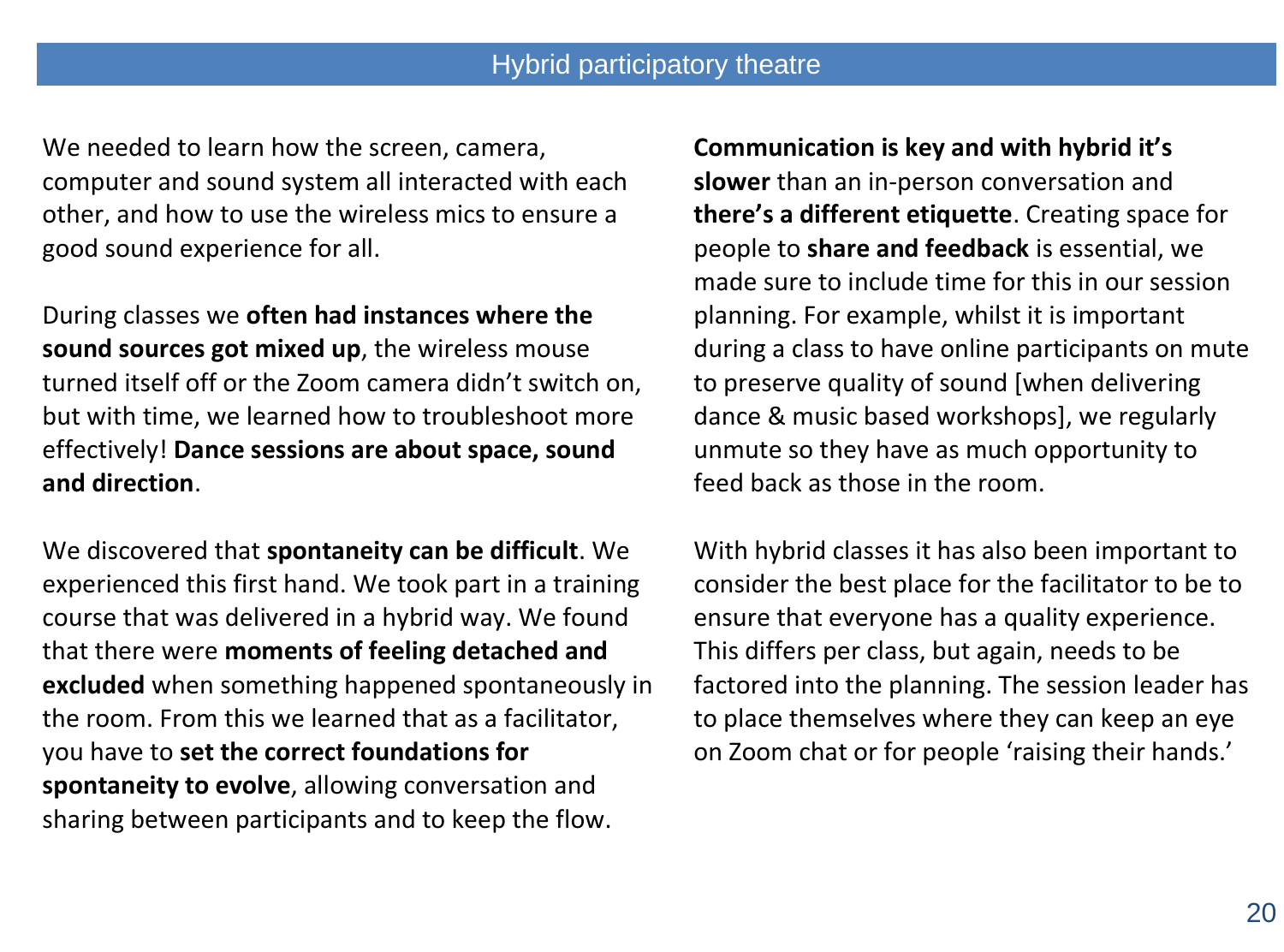We needed to learn how the screen, camera, computer and sound system all interacted with each other, and how to use the wireless mics to ensure a good sound experience for all.

During classes we **often had instances where the sound sources got mixed up**, the wireless mouse turned itself off or the Zoom camera didn't switch on, but with time, we learned how to troubleshoot more effectively! **Dance sessions are about space, sound and direction**.

We discovered that **spontaneity can be difficult**. We experienced this first hand. We took part in a training course that was delivered in a hybrid way. We found that there were **moments of feeling detached and excluded** when something happened spontaneously in the room. From this we learned that as a facilitator, you have to **set the correct foundations for spontaneity to evolve**, allowing conversation and sharing between participants and to keep the flow.

**Communication is key and with hybrid it's slower** than an in-person conversation and **there's a different etiquette**. Creating space for people to **share and feedback** is essential, we made sure to include time for this in our session planning. For example, whilst it is important during a class to have online participants on mute to preserve quality of sound [when delivering dance & music based workshops], we regularly unmute so they have as much opportunity to feed back as those in the room.

With hybrid classes it has also been important to consider the best place for the facilitator to be to ensure that everyone has a quality experience. This differs per class, but again, needs to be factored into the planning. The session leader has to place themselves where they can keep an eye on Zoom chat or for people 'raising their hands.'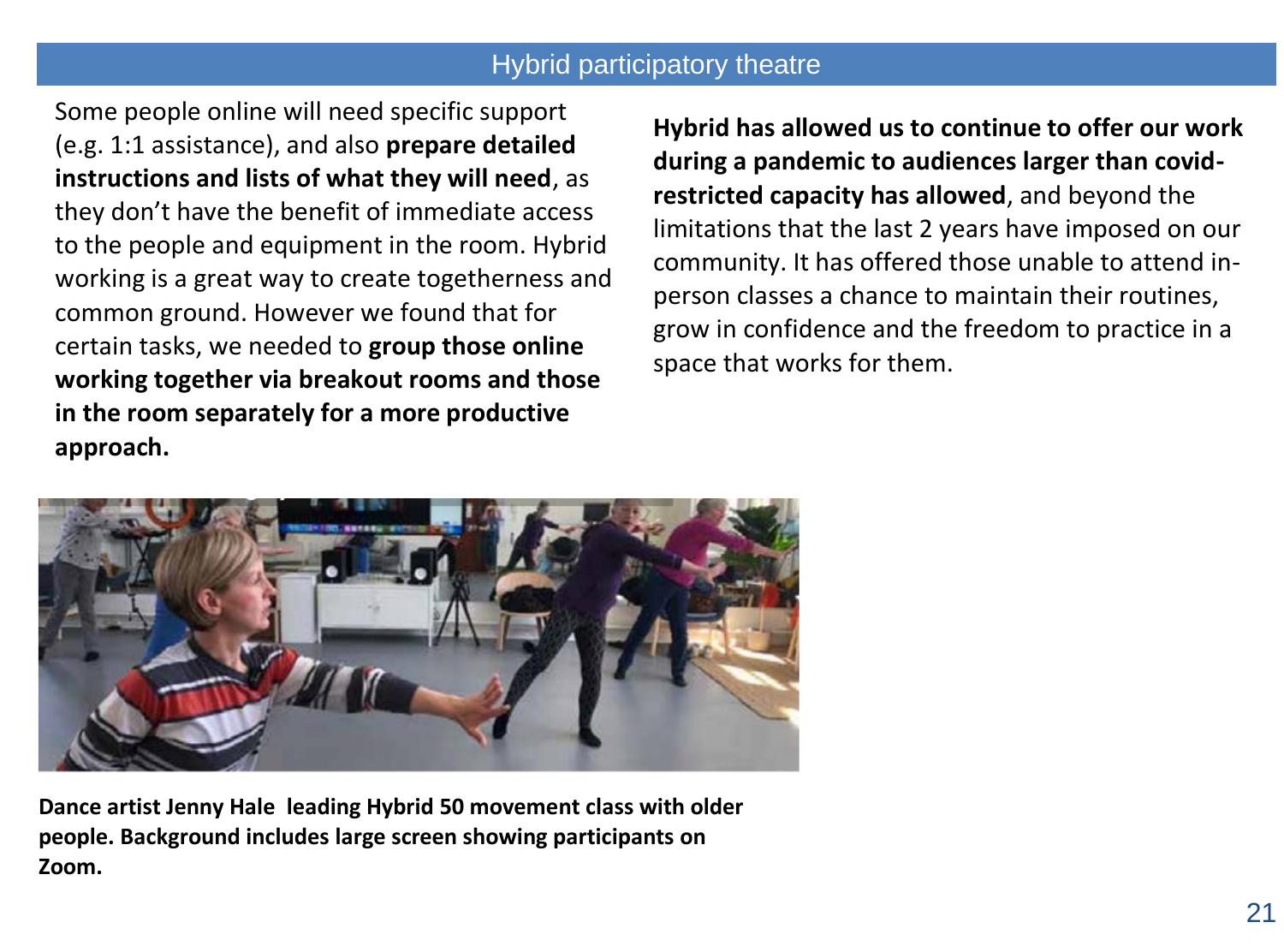Some people online will need specific support (e.g. 1:1 assistance), and also **prepare detailed instructions and lists of what they will need**, as they don't have the benefit of immediate access to the people and equipment in the room. Hybrid working is a great way to create togetherness and common ground. However we found that for certain tasks, we needed to **group those online working together via breakout rooms and those in the room separately for a more productive approach.**

**Hybrid has allowed us to continue to offer our work during a pandemic to audiences larger than covidrestricted capacity has allowed**, and beyond the limitations that the last 2 years have imposed on our community. It has offered those unable to attend inperson classes a chance to maintain their routines, grow in confidence and the freedom to practice in a space that works for them.



**Dance artist Jenny Hale leading Hybrid 50 movement class with older people. Background includes large screen showing participants on Zoom.**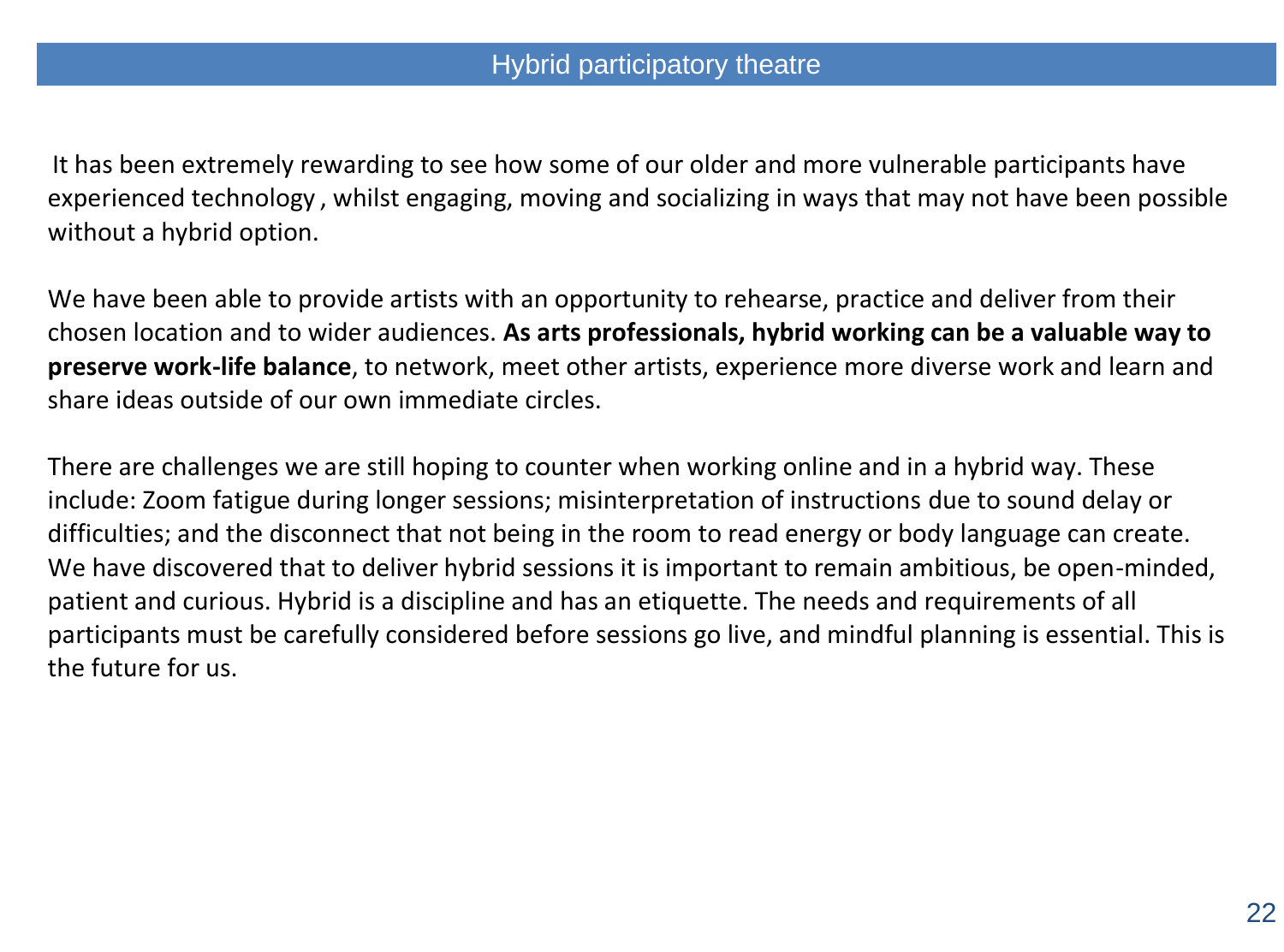It has been extremely rewarding to see how some of our older and more vulnerable participants have experienced technology , whilst engaging, moving and socializing in ways that may not have been possible without a hybrid option.

We have been able to provide artists with an opportunity to rehearse, practice and deliver from their chosen location and to wider audiences. **As arts professionals, hybrid working can be a valuable way to preserve work-life balance**, to network, meet other artists, experience more diverse work and learn and share ideas outside of our own immediate circles.

There are challenges we are still hoping to counter when working online and in a hybrid way. These include: Zoom fatigue during longer sessions; misinterpretation of instructions due to sound delay or difficulties; and the disconnect that not being in the room to read energy or body language can create. We have discovered that to deliver hybrid sessions it is important to remain ambitious, be open-minded, patient and curious. Hybrid is a discipline and has an etiquette. The needs and requirements of all participants must be carefully considered before sessions go live, and mindful planning is essential. This is the future for us.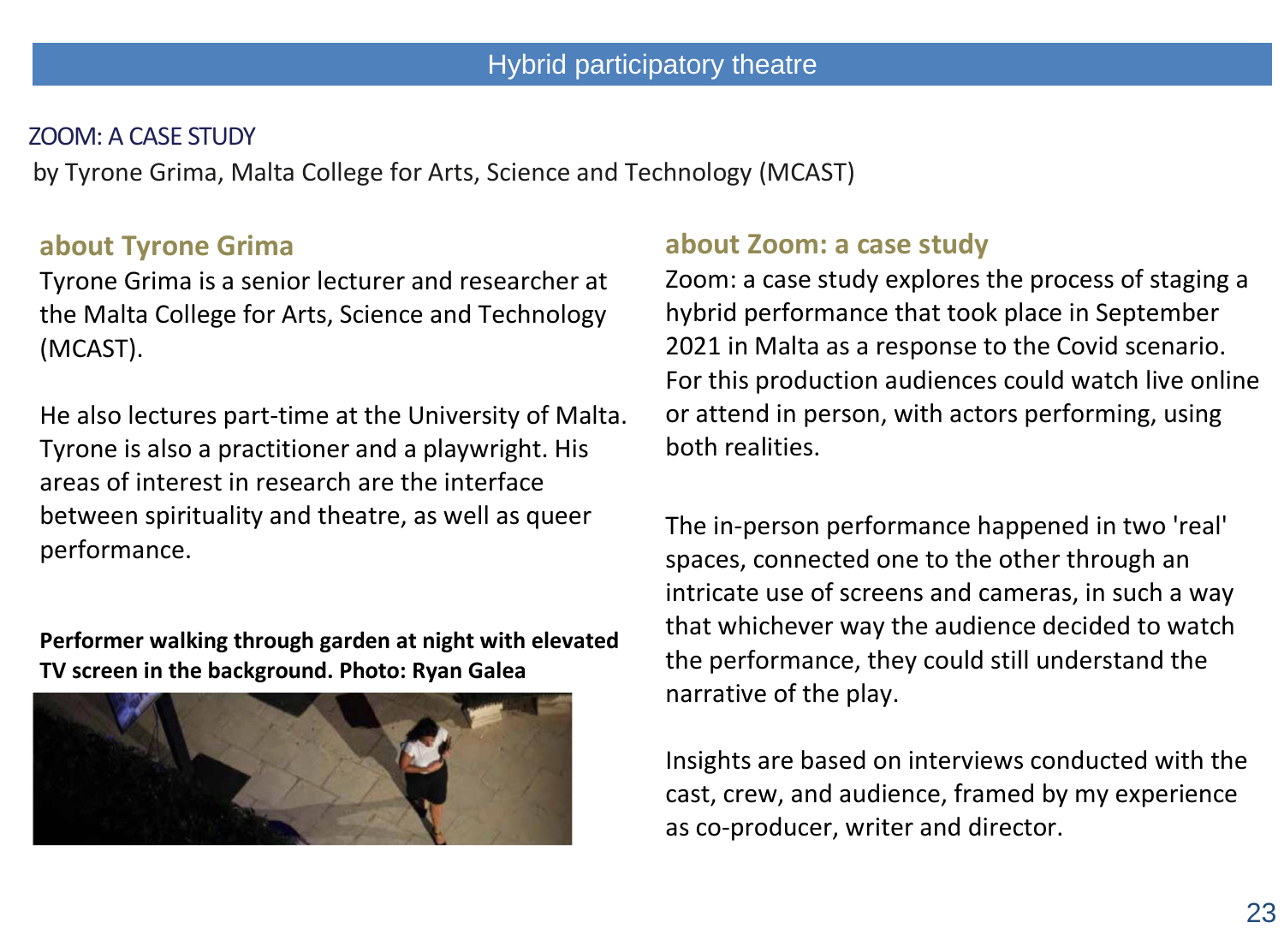#### ZOOM: A CASE STUDY

by Tyrone Grima, Malta College for Arts, Science and Technology (MCAST)

### **about Tyrone Grima**

Tyrone Grima is a senior lecturer and researcher at the Malta College for Arts, Science and Technology (MCAST).

He also lectures part-time at the University of Malta. Tyrone is also a practitioner and a playwright. His areas of interest in research are the interface between spirituality and theatre, as well as queer performance.

**Performer walking through garden at night with elevated TV screen in the background. Photo: Ryan Galea**



## **about Zoom: a case study**

Zoom: a case study explores the process of staging a hybrid performance that took place in September 2021 in Malta as a response to the Covid scenario. For this production audiences could watch live online or attend in person, with actors performing, using both realities.

The in-person performance happened in two 'real' spaces, connected one to the other through an intricate use of screens and cameras, in such a way that whichever way the audience decided to watch the performance, they could still understand the narrative of the play.

Insights are based on interviews conducted with the cast, crew, and audience, framed by my experience as co-producer, writer and director.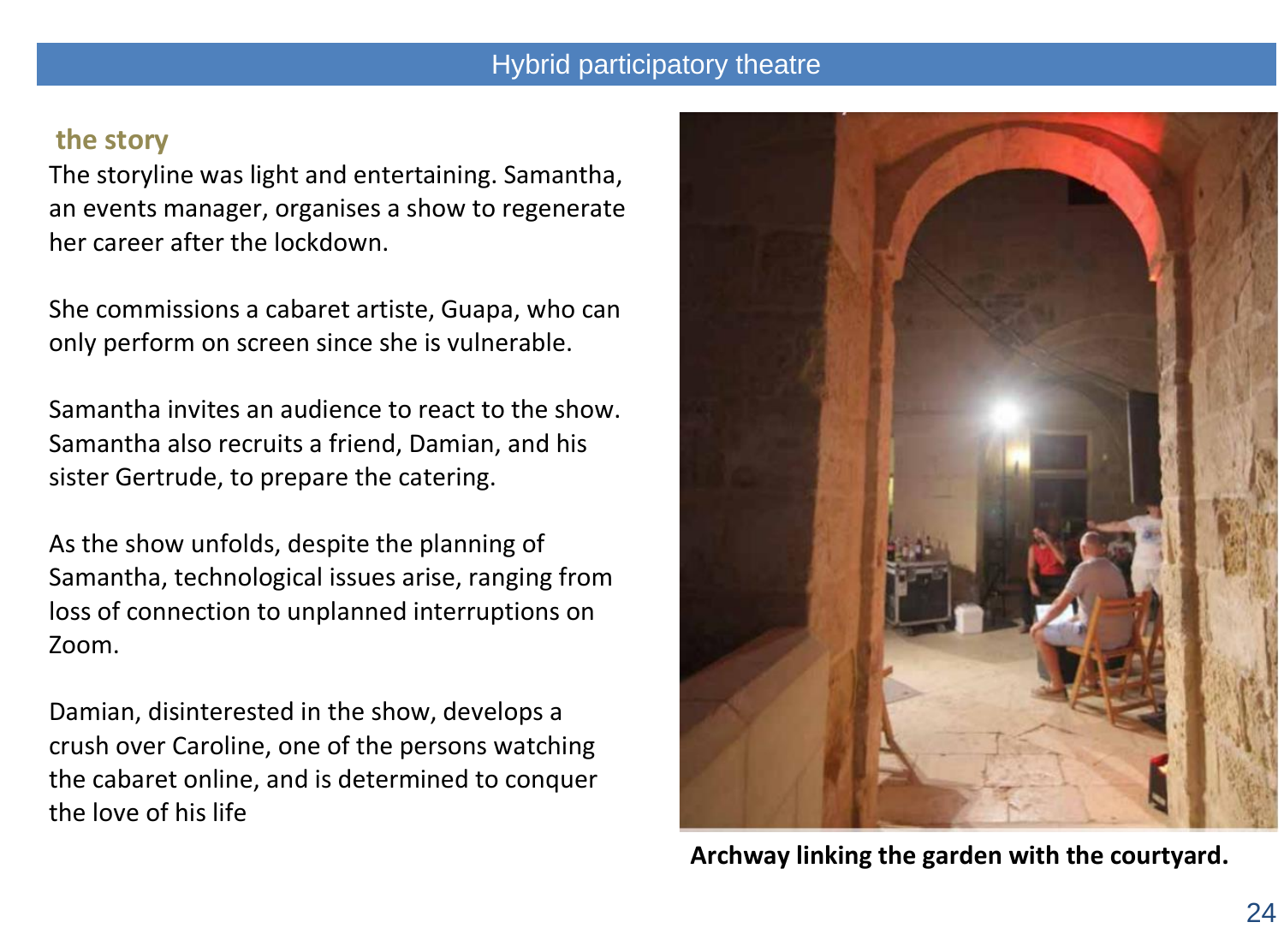# **the story**

The storyline was light and entertaining. Samantha, an events manager, organises a show to regenerate her career after the lockdown.

She commissions a cabaret artiste, Guapa, who can only perform on screen since she is vulnerable.

Samantha invites an audience to react to the show. Samantha also recruits a friend, Damian, and his sister Gertrude, to prepare the catering.

As the show unfolds, despite the planning of Samantha, technological issues arise, ranging from loss of connection to unplanned interruptions on Zoom.

Damian, disinterested in the show, develops a crush over Caroline, one of the persons watching the cabaret online, and is determined to conquer the love of his life



**Archway linking the garden with the courtyard.**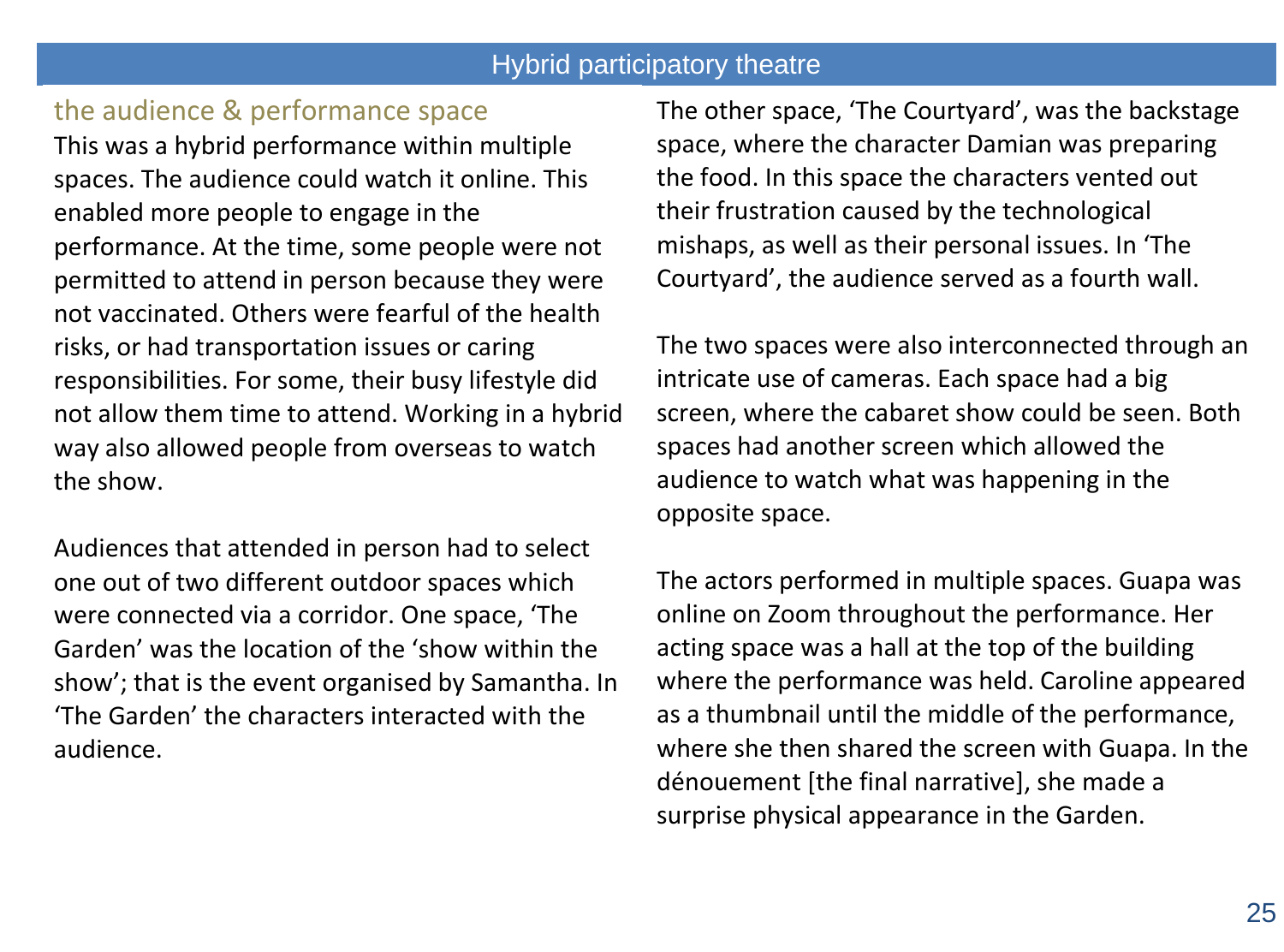### the audience & performance space

This was a hybrid performance within multiple spaces. The audience could watch it online. This enabled more people to engage in the performance. At the time, some people were not permitted to attend in person because they were not vaccinated. Others were fearful of the health risks, or had transportation issues or caring responsibilities. For some, their busy lifestyle did not allow them time to attend. Working in a hybrid way also allowed people from overseas to watch the show.

Audiences that attended in person had to select one out of two different outdoor spaces which were connected via a corridor. One space, 'The Garden' was the location of the 'show within the show'; that is the event organised by Samantha. In 'The Garden' the characters interacted with the audience.

The other space, 'The Courtyard', was the backstage space, where the character Damian was preparing the food. In this space the characters vented out their frustration caused by the technological mishaps, as well as their personal issues. In 'The Courtyard', the audience served as a fourth wall.

The two spaces were also interconnected through an intricate use of cameras. Each space had a big screen, where the cabaret show could be seen. Both spaces had another screen which allowed the audience to watch what was happening in the opposite space.

The actors performed in multiple spaces. Guapa was online on Zoom throughout the performance. Her acting space was a hall at the top of the building where the performance was held. Caroline appeared as a thumbnail until the middle of the performance, where she then shared the screen with Guapa. In the dénouement [the final narrative], she made a surprise physical appearance in the Garden.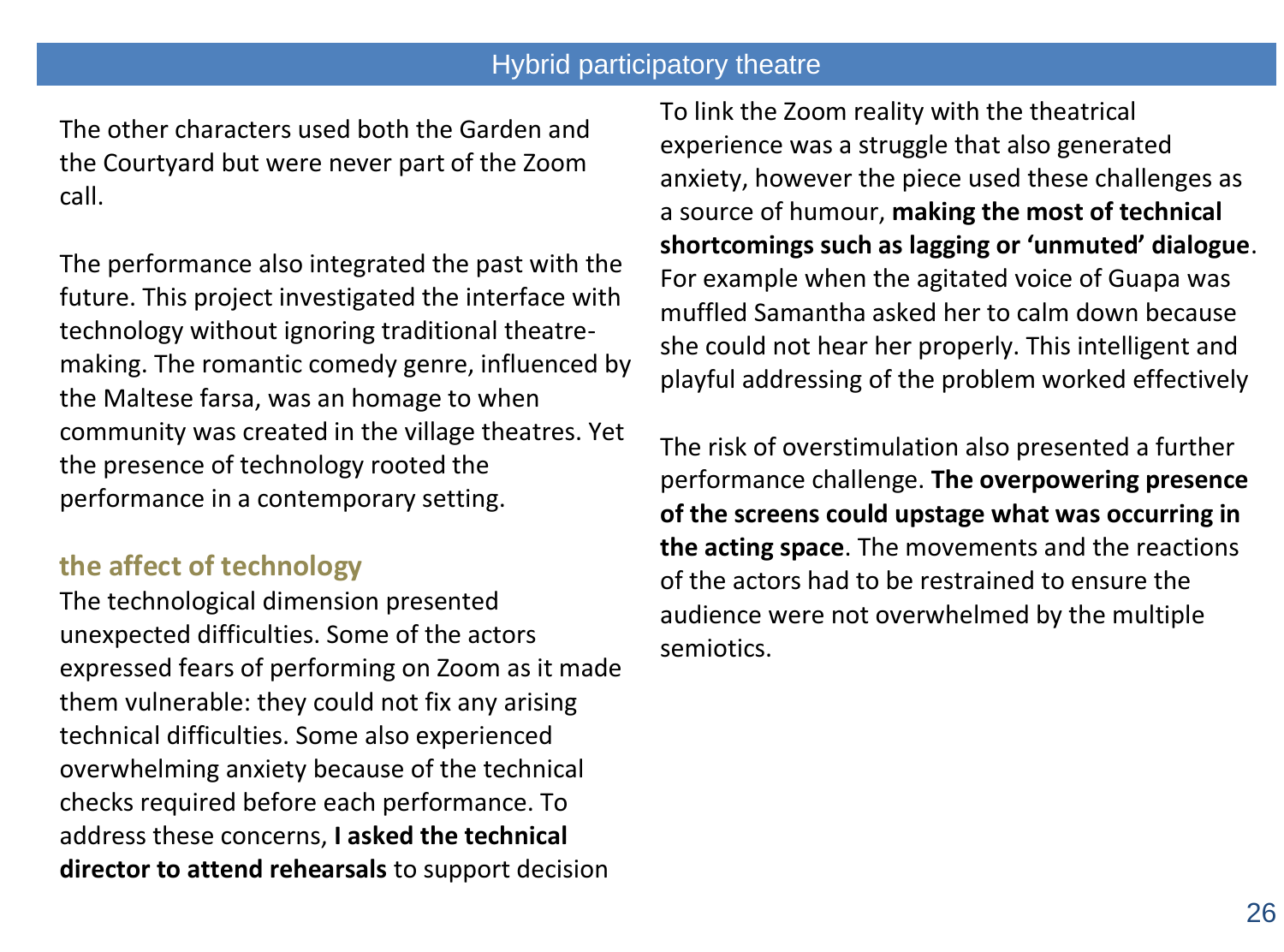The other characters used both the Garden and the Courtyard but were never part of the Zoom call.

The performance also integrated the past with the future. This project investigated the interface with technology without ignoring traditional theatremaking. The romantic comedy genre, influenced by the Maltese farsa, was an homage to when community was created in the village theatres. Yet the presence of technology rooted the performance in a contemporary setting.

## **the affect of technology**

The technological dimension presented unexpected difficulties. Some of the actors expressed fears of performing on Zoom as it made them vulnerable: they could not fix any arising technical difficulties. Some also experienced overwhelming anxiety because of the technical checks required before each performance. To address these concerns, **I asked the technical director to attend rehearsals** to support decision

To link the Zoom reality with the theatrical experience was a struggle that also generated anxiety, however the piece used these challenges as a source of humour, **making the most of technical shortcomings such as lagging or 'unmuted' dialogue**. For example when the agitated voice of Guapa was muffled Samantha asked her to calm down because she could not hear her properly. This intelligent and playful addressing of the problem worked effectively

The risk of overstimulation also presented a further performance challenge. **The overpowering presence of the screens could upstage what was occurring in the acting space**. The movements and the reactions of the actors had to be restrained to ensure the audience were not overwhelmed by the multiple semiotics.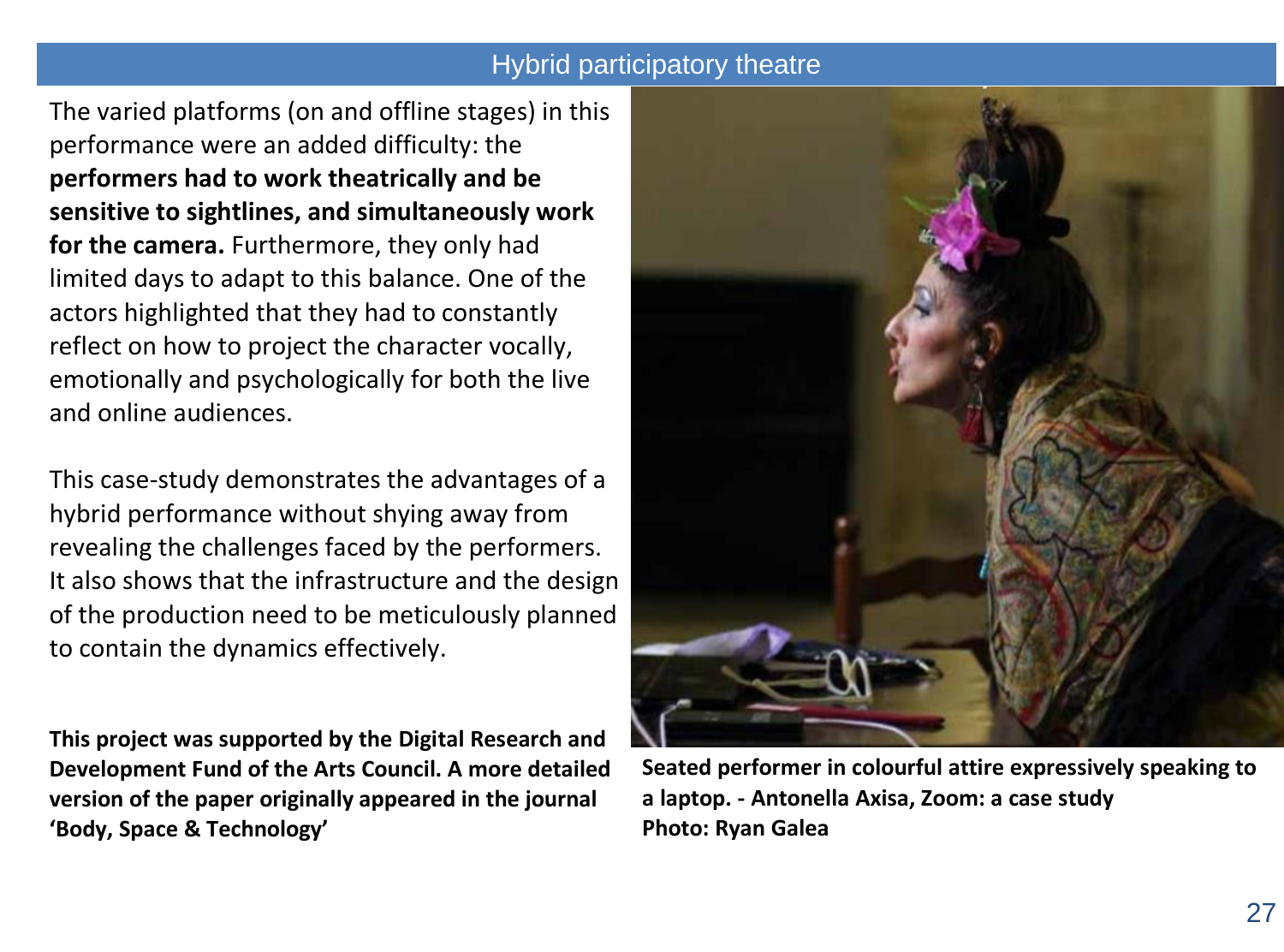The varied platforms (on and offline stages) in this performance were an added difficulty: the **performers had to work theatrically and be sensitive to sightlines, and simultaneously work for the camera.** Furthermore, they only had limited days to adapt to this balance. One of the actors highlighted that they had to constantly reflect on how to project the character vocally, emotionally and psychologically for both the live and online audiences.

This case-study demonstrates the advantages of a hybrid performance without shying away from revealing the challenges faced by the performers. It also shows that the infrastructure and the design of the production need to be meticulously planned to contain the dynamics effectively.

**This project was supported by the Digital Research and Development Fund of the Arts Council. A more detailed version of the paper originally appeared in the journal 'Body, Space & Technology'**



**Seated performer in colourful attire expressively speaking to a laptop. - Antonella Axisa, Zoom: a case study Photo: Ryan Galea**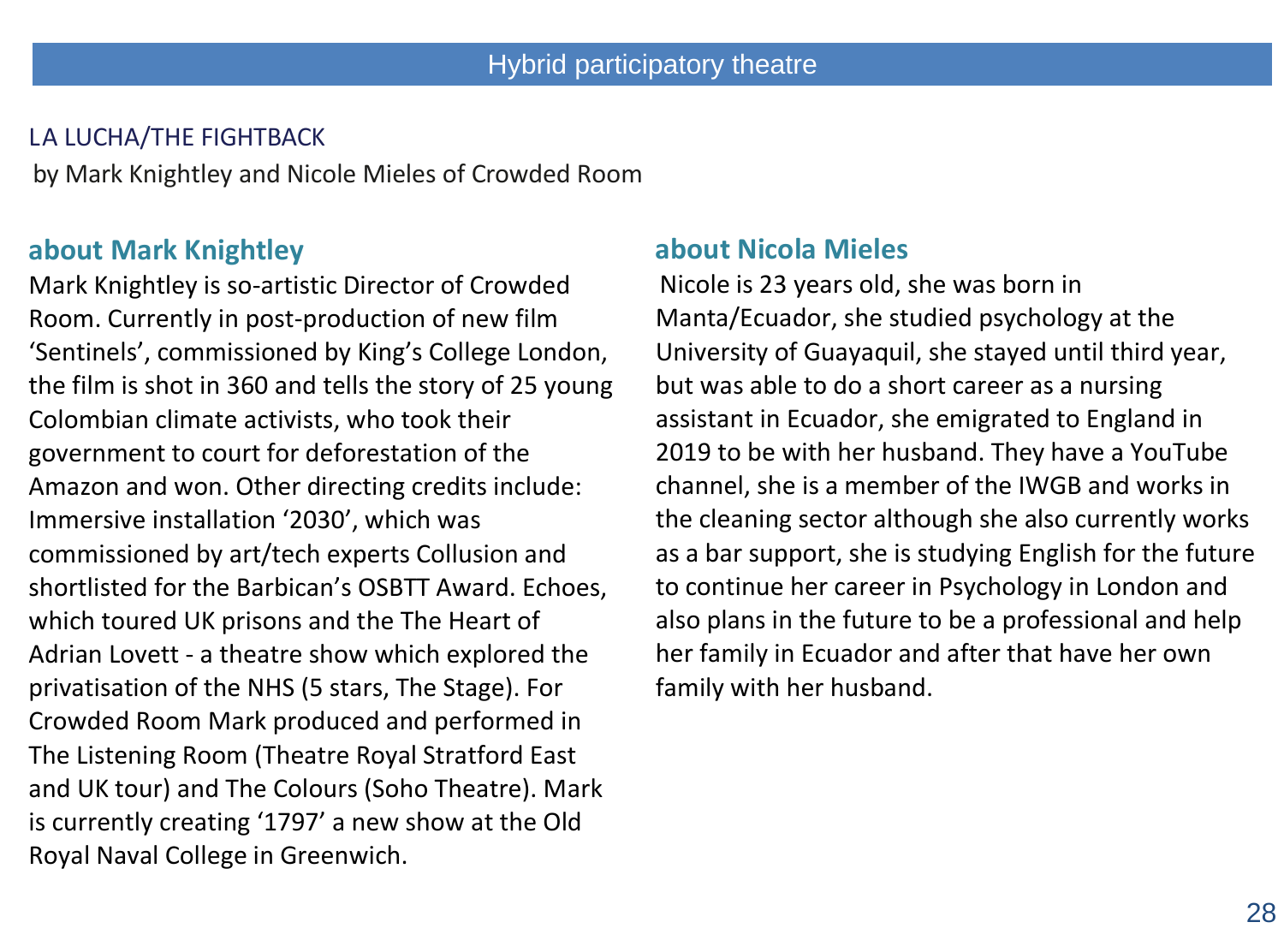### LA LUCHA/THE FIGHTBACK

by Mark Knightley and Nicole Mieles of Crowded Room

# **about Mark Knightley**

Mark Knightley is so-artistic Director of Crowded Room. Currently in post-production of new film 'Sentinels', commissioned by King's College London, the film is shot in 360 and tells the story of 25 young Colombian climate activists, who took their government to court for deforestation of the Amazon and won. Other directing credits include: Immersive installation '2030', which was commissioned by art/tech experts Collusion and shortlisted for the Barbican's OSBTT Award. Echoes, which toured UK prisons and the The Heart of Adrian Lovett - a theatre show which explored the privatisation of the NHS (5 stars, The Stage). For Crowded Room Mark produced and performed in The Listening Room (Theatre Royal Stratford East and UK tour) and The Colours (Soho Theatre). Mark is currently creating '1797' a new show at the Old Royal Naval College in Greenwich.

### **about Nicola Mieles**

Nicole is 23 years old, she was born in Manta/Ecuador, she studied psychology at the University of Guayaquil, she stayed until third year, but was able to do a short career as a nursing assistant in Ecuador, she emigrated to England in 2019 to be with her husband. They have a YouTube channel, she is a member of the IWGB and works in the cleaning sector although she also currently works as a bar support, she is studying English for the future to continue her career in Psychology in London and also plans in the future to be a professional and help her family in Ecuador and after that have her own family with her husband.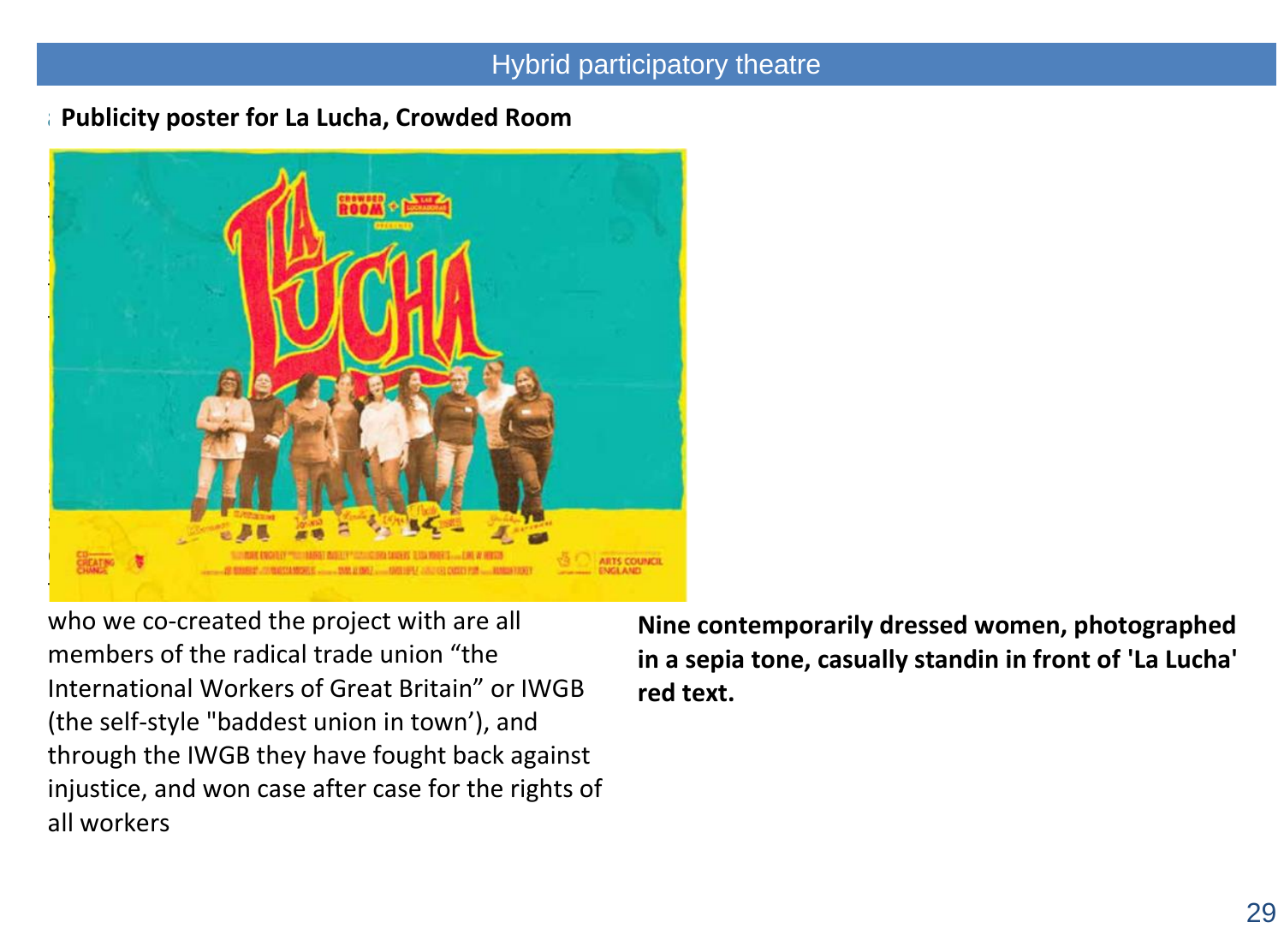**about La Lucha Publicity poster for La Lucha, Crowded Room**



who we co-created the project with are all members of the radical trade union "the International Workers of Great Britain" or IWGB (the self-style "baddest union in town'), and through the IWGB they have fought back against injustice, and won case after case for the rights of all workers

**Nine contemporarily dressed women, photographed in a sepia tone, casually standin in front of 'La Lucha' red text.**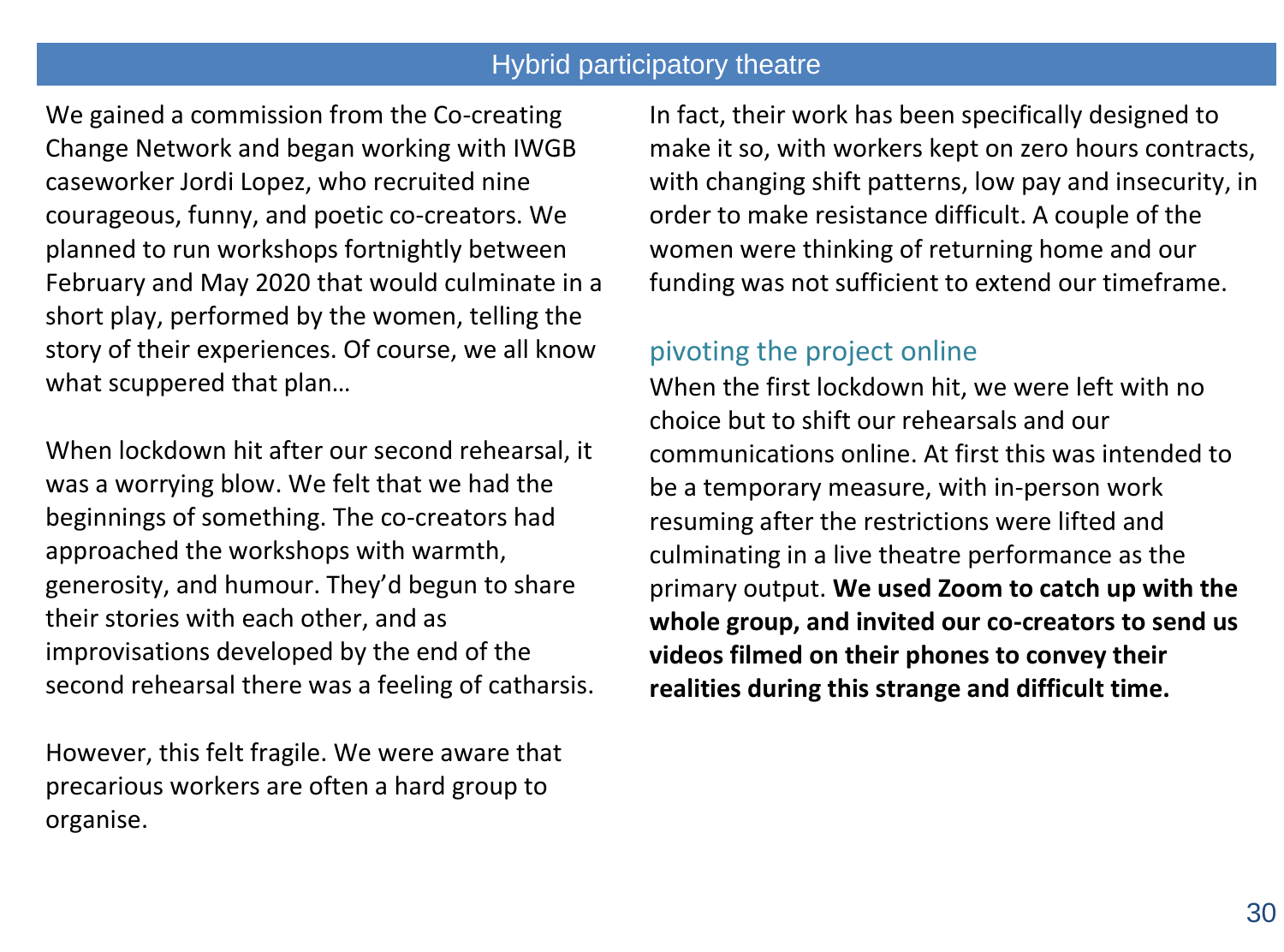We gained a commission from the Co-creating Change Network and began working with IWGB caseworker Jordi Lopez, who recruited nine courageous, funny, and poetic co-creators. We planned to run workshops fortnightly between February and May 2020 that would culminate in a short play, performed by the women, telling the story of their experiences. Of course, we all know what scuppered that plan...

When lockdown hit after our second rehearsal, it was a worrying blow. We felt that we had the beginnings of something. The co-creators had approached the workshops with warmth, generosity, and humour. They'd begun to share their stories with each other, and as improvisations developed by the end of the second rehearsal there was a feeling of catharsis.

However, this felt fragile. We were aware that precarious workers are often a hard group to organise.

In fact, their work has been specifically designed to make it so, with workers kept on zero hours contracts, with changing shift patterns, low pay and insecurity, in order to make resistance difficult. A couple of the women were thinking of returning home and our funding was not sufficient to extend our timeframe.

### pivoting the project online

When the first lockdown hit, we were left with no choice but to shift our rehearsals and our communications online. At first this was intended to be a temporary measure, with in-person work resuming after the restrictions were lifted and culminating in a live theatre performance as the primary output. **We used Zoom to catch up with the whole group, and invited our co-creators to send us videos filmed on their phones to convey their realities during this strange and difficult time.**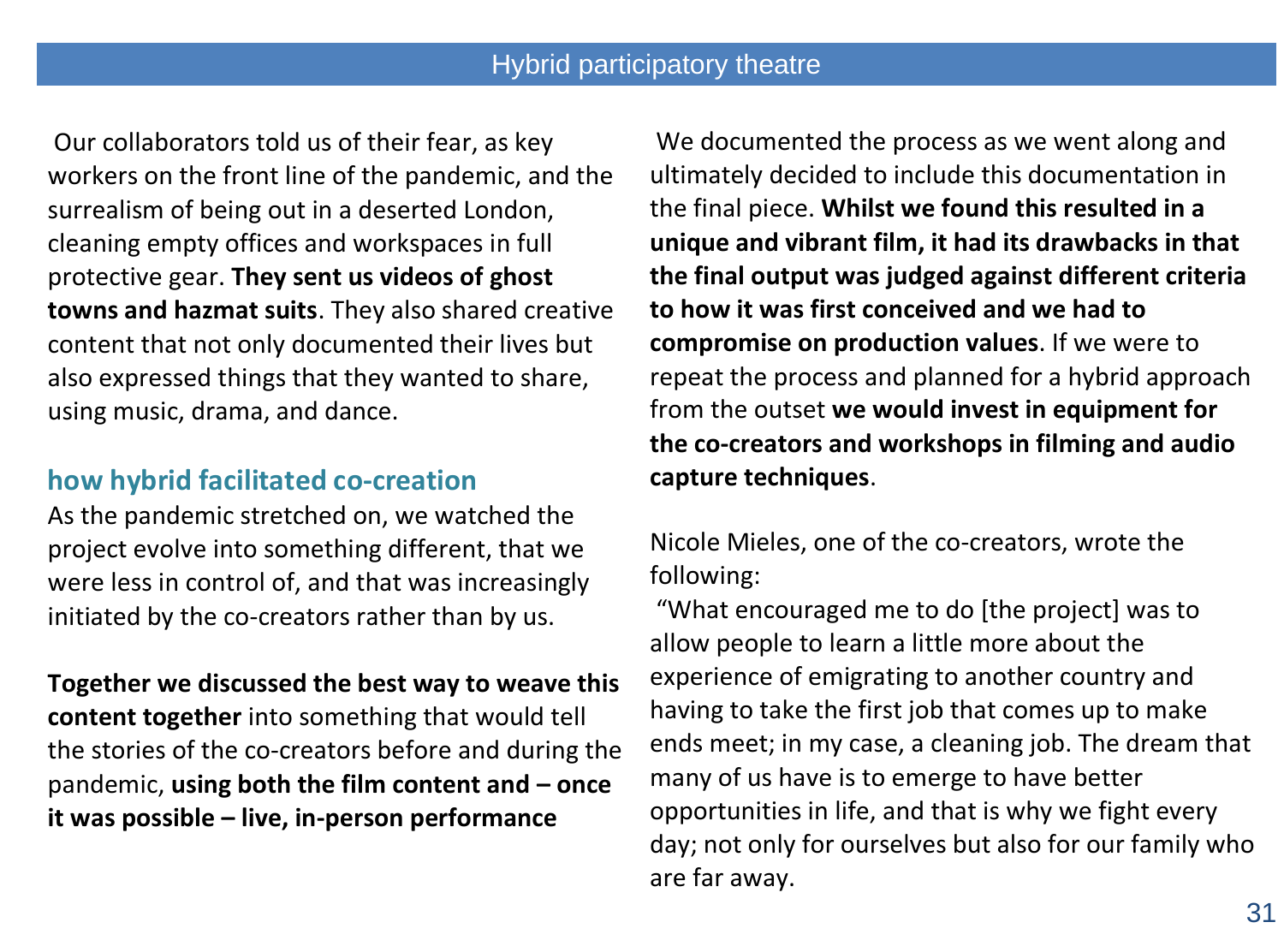Our collaborators told us of their fear, as key workers on the front line of the pandemic, and the surrealism of being out in a deserted London, cleaning empty offices and workspaces in full protective gear. **They sent us videos of ghost towns and hazmat suits**. They also shared creative content that not only documented their lives but also expressed things that they wanted to share, using music, drama, and dance.

### **how hybrid facilitated co-creation**

As the pandemic stretched on, we watched the project evolve into something different, that we were less in control of, and that was increasingly initiated by the co-creators rather than by us.

**Together we discussed the best way to weave this content together** into something that would tell the stories of the co-creators before and during the pandemic, **using both the film content and – once it was possible – live, in-person performance**

We documented the process as we went along and ultimately decided to include this documentation in the final piece. **Whilst we found this resulted in a unique and vibrant film, it had its drawbacks in that the final output was judged against different criteria to how it was first conceived and we had to compromise on production values**. If we were to repeat the process and planned for a hybrid approach from the outset **we would invest in equipment for the co-creators and workshops in filming and audio capture techniques**.

### Nicole Mieles, one of the co-creators, wrote the following:

"What encouraged me to do [the project] was to allow people to learn a little more about the experience of emigrating to another country and having to take the first job that comes up to make ends meet; in my case, a cleaning job. The dream that many of us have is to emerge to have better opportunities in life, and that is why we fight every day; not only for ourselves but also for our family who are far away.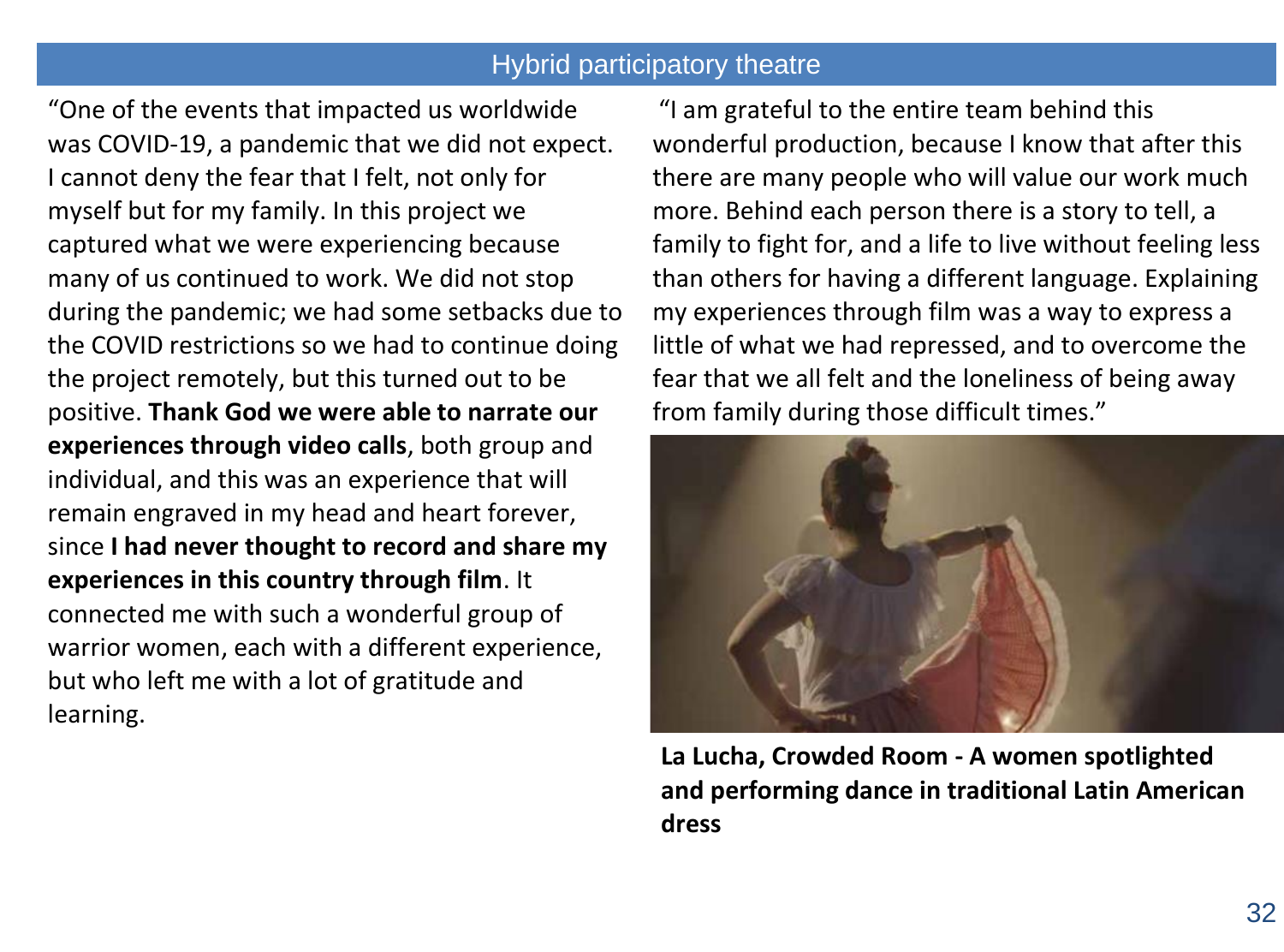"One of the events that impacted us worldwide was COVID-19, a pandemic that we did not expect. I cannot deny the fear that I felt, not only for myself but for my family. In this project we captured what we were experiencing because many of us continued to work. We did not stop during the pandemic; we had some setbacks due to the COVID restrictions so we had to continue doing the project remotely, but this turned out to be positive. **Thank God we were able to narrate our experiences through video calls**, both group and individual, and this was an experience that will remain engraved in my head and heart forever, since **I had never thought to record and share my experiences in this country through film**. It connected me with such a wonderful group of warrior women, each with a different experience, but who left me with a lot of gratitude and learning.

"I am grateful to the entire team behind this wonderful production, because I know that after this there are many people who will value our work much more. Behind each person there is a story to tell, a family to fight for, and a life to live without feeling less than others for having a different language. Explaining my experiences through film was a way to express a little of what we had repressed, and to overcome the fear that we all felt and the loneliness of being away from family during those difficult times."



**La Lucha, Crowded Room - A women spotlighted and performing dance in traditional Latin American dress**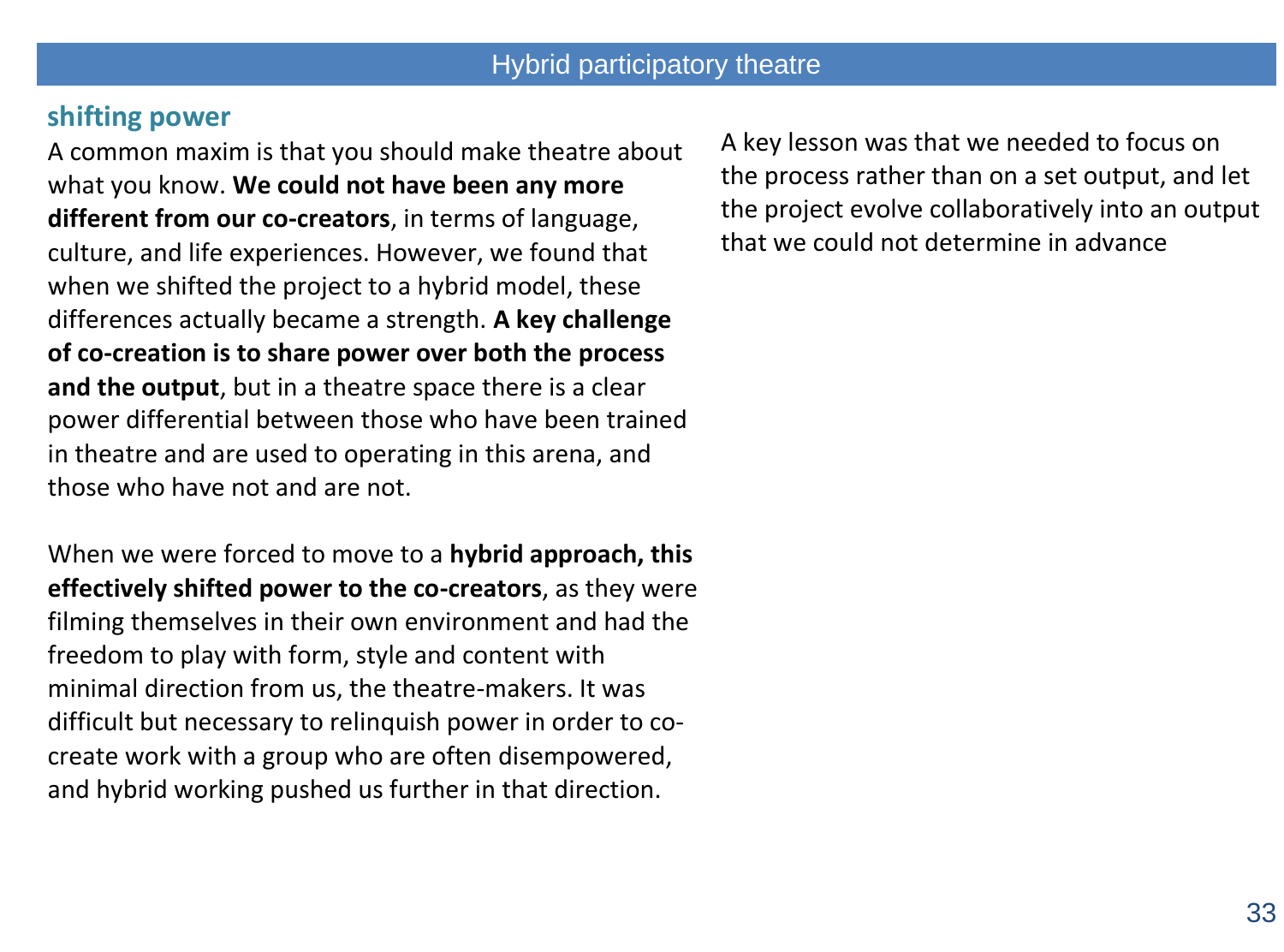### **shifting power**

A common maxim is that you should make theatre about what you know. **We could not have been any more different from our co-creators**, in terms of language, culture, and life experiences. However, we found that when we shifted the project to a hybrid model, these differences actually became a strength. **A key challenge of co-creation is to share power over both the process and the output**, but in a theatre space there is a clear power differential between those who have been trained in theatre and are used to operating in this arena, and those who have not and are not.

When we were forced to move to a **hybrid approach, this effectively shifted power to the co-creators**, as they were filming themselves in their own environment and had the freedom to play with form, style and content with minimal direction from us, the theatre-makers. It was difficult but necessary to relinquish power in order to cocreate work with a group who are often disempowered, and hybrid working pushed us further in that direction.

A key lesson was that we needed to focus on the process rather than on a set output, and let the project evolve collaboratively into an output that we could not determine in advance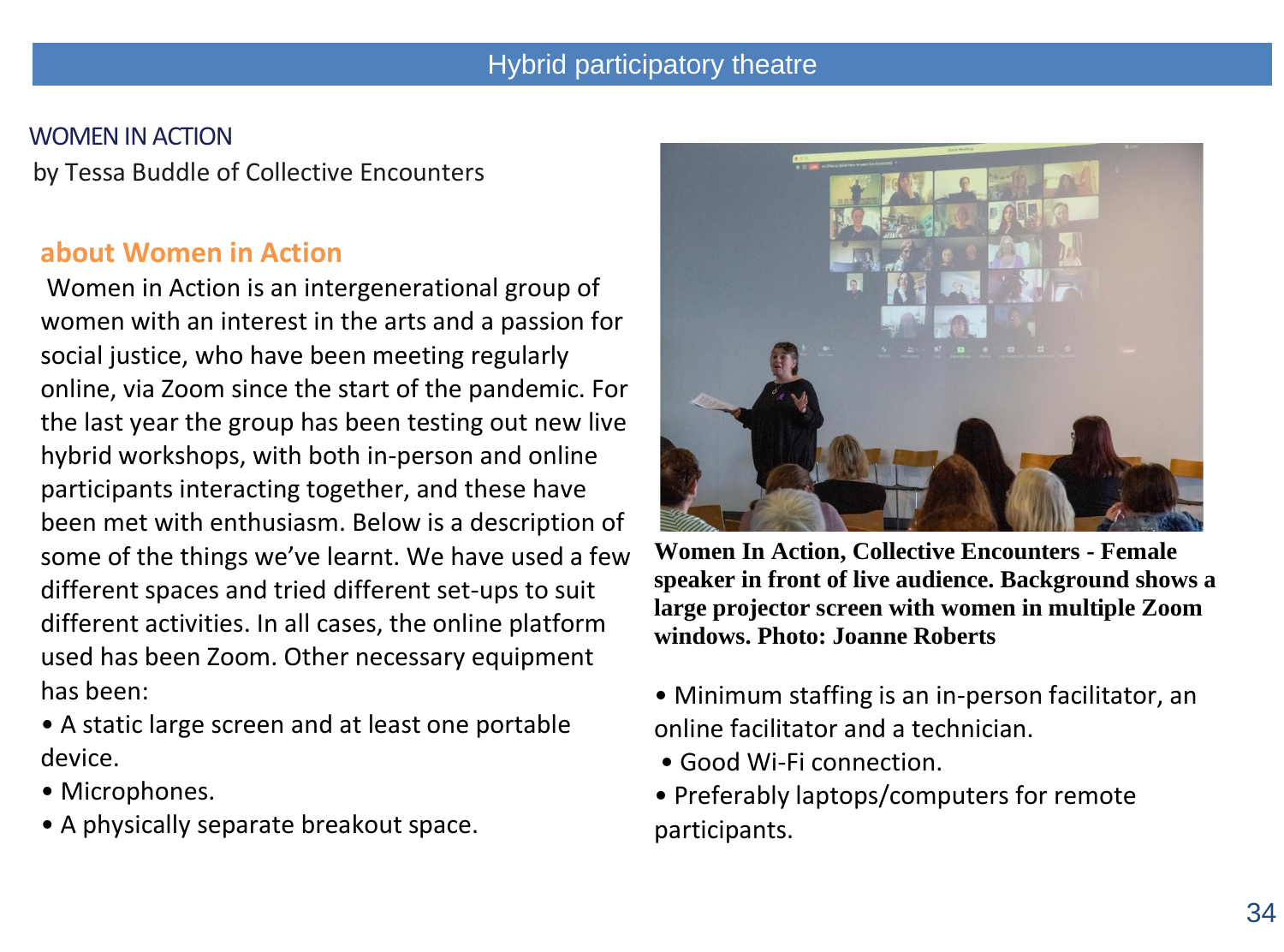#### WOMEN IN ACTION

by Tessa Buddle of Collective Encounters

### **about Women in Action**

Women in Action is an intergenerational group of women with an interest in the arts and a passion for social justice, who have been meeting regularly online, via Zoom since the start of the pandemic. For the last year the group has been testing out new live hybrid workshops, with both in-person and online participants interacting together, and these have been met with enthusiasm. Below is a description of some of the things we've learnt. We have used a few different spaces and tried different set-ups to suit different activities. In all cases, the online platform used has been Zoom. Other necessary equipment has been:

- A static large screen and at least one portable device.
- Microphones.
- A physically separate breakout space.



**Women In Action, Collective Encounters - Female speaker in front of live audience. Background shows a large projector screen with women in multiple Zoom windows. Photo: Joanne Roberts**

- Minimum staffing is an in-person facilitator, an online facilitator and a technician.
- Good Wi-Fi connection.
- Preferably laptops/computers for remote participants.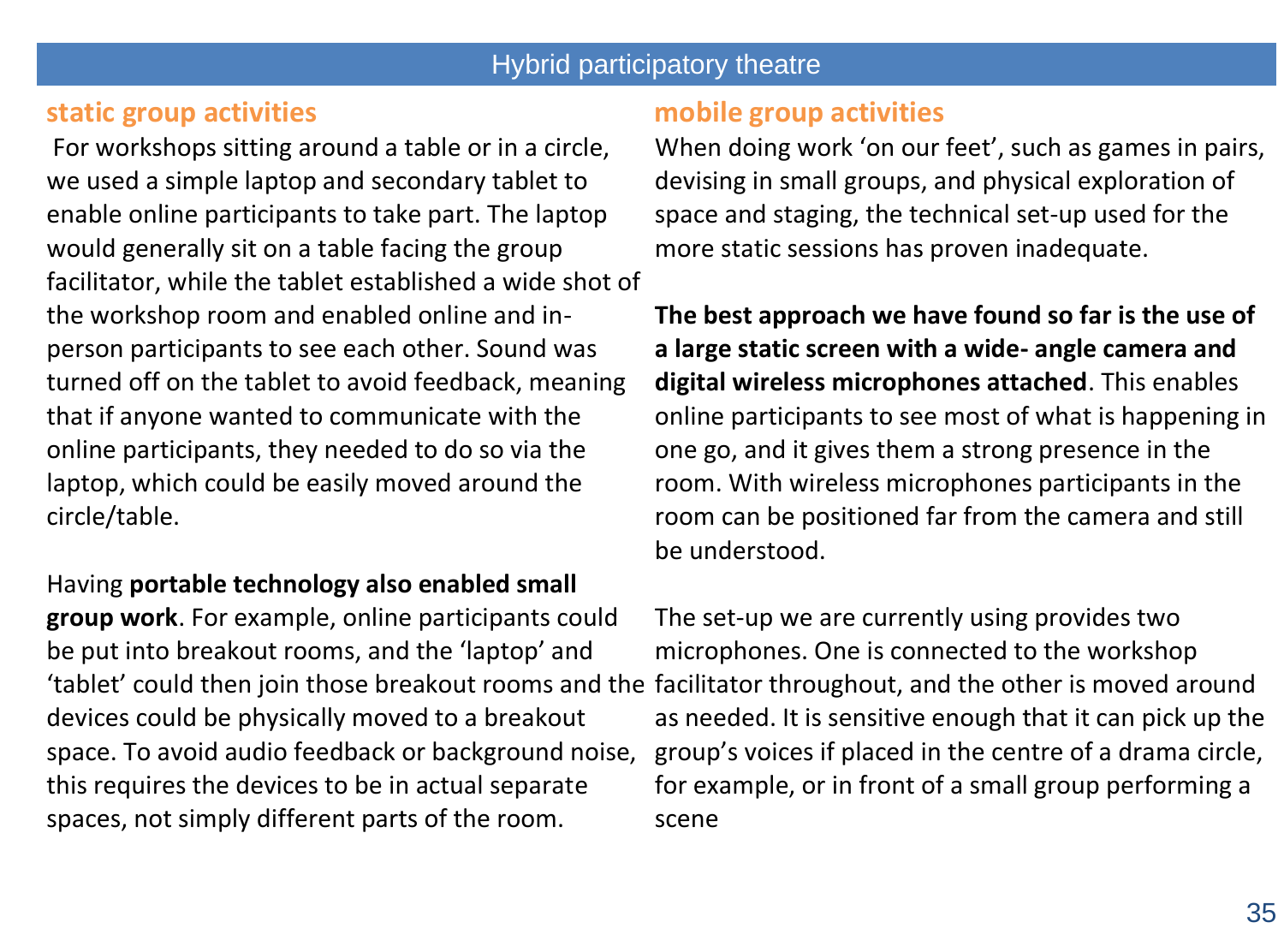### **static group activities**

For workshops sitting around a table or in a circle, we used a simple laptop and secondary tablet to enable online participants to take part. The laptop would generally sit on a table facing the group facilitator, while the tablet established a wide shot of the workshop room and enabled online and inperson participants to see each other. Sound was turned off on the tablet to avoid feedback, meaning that if anyone wanted to communicate with the online participants, they needed to do so via the laptop, which could be easily moved around the circle/table.

#### Having **portable technology also enabled small**

**group work**. For example, online participants could be put into breakout rooms, and the 'laptop' and devices could be physically moved to a breakout space. To avoid audio feedback or background noise, this requires the devices to be in actual separate spaces, not simply different parts of the room.

#### **mobile group activities**

When doing work 'on our feet', such as games in pairs, devising in small groups, and physical exploration of space and staging, the technical set-up used for the more static sessions has proven inadequate.

**The best approach we have found so far is the use of a large static screen with a wide- angle camera and digital wireless microphones attached**. This enables online participants to see most of what is happening in one go, and it gives them a strong presence in the room. With wireless microphones participants in the room can be positioned far from the camera and still be understood.

'tablet' could then join those breakout rooms and the facilitator throughout, and the other is moved around The set-up we are currently using provides two microphones. One is connected to the workshop as needed. It is sensitive enough that it can pick up the group's voices if placed in the centre of a drama circle, for example, or in front of a small group performing a scene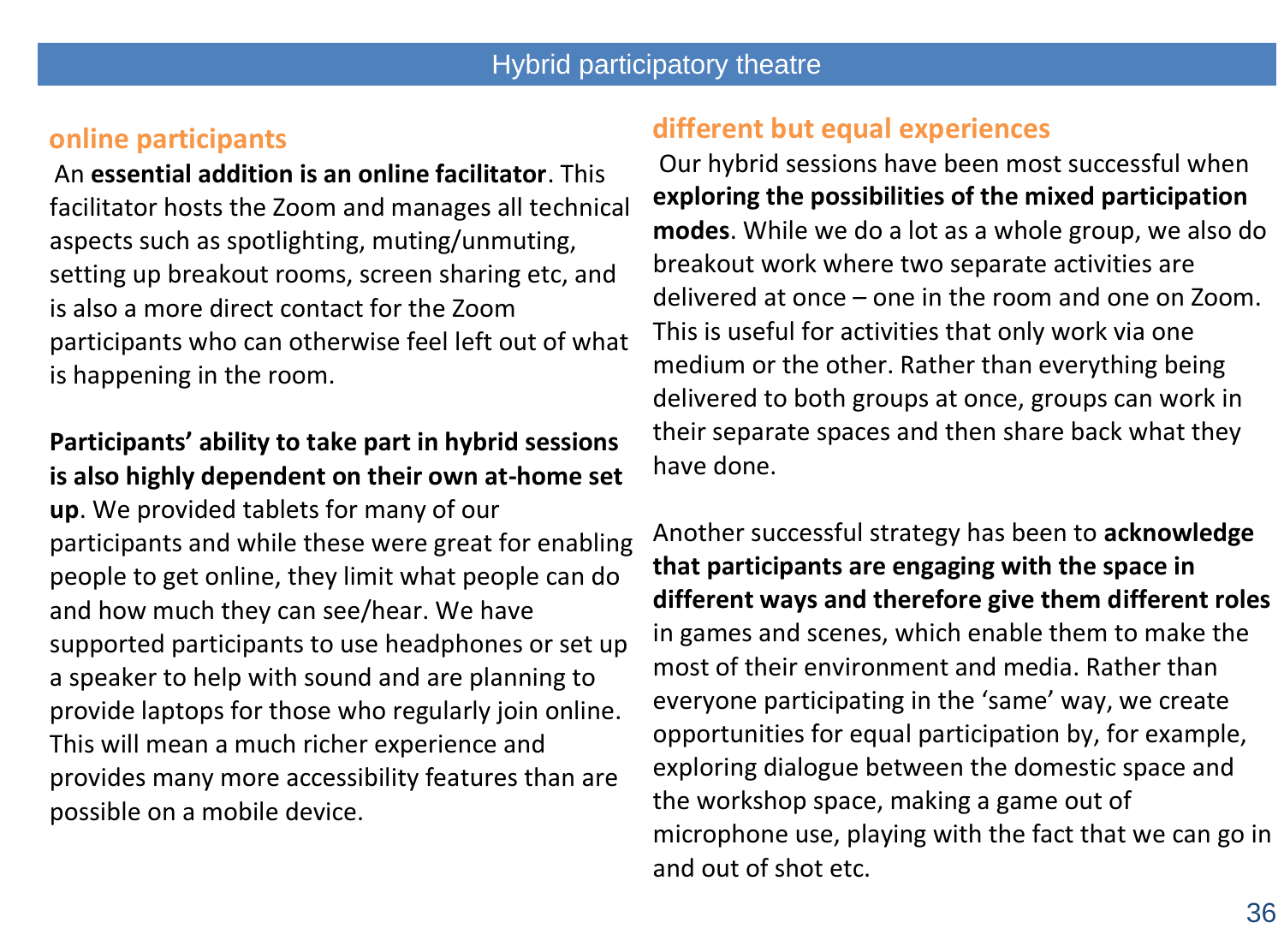### **online participants**

An **essential addition is an online facilitator**. This facilitator hosts the Zoom and manages all technical aspects such as spotlighting, muting/unmuting, setting up breakout rooms, screen sharing etc, and is also a more direct contact for the Zoom participants who can otherwise feel left out of what is happening in the room.

### **Participants' ability to take part in hybrid sessions is also highly dependent on their own at-home set**

**up**. We provided tablets for many of our participants and while these were great for enabling people to get online, they limit what people can do and how much they can see/hear. We have supported participants to use headphones or set up a speaker to help with sound and are planning to provide laptops for those who regularly join online. This will mean a much richer experience and provides many more accessibility features than are possible on a mobile device.

# **different but equal experiences**

Our hybrid sessions have been most successful when **exploring the possibilities of the mixed participation modes**. While we do a lot as a whole group, we also do breakout work where two separate activities are delivered at once – one in the room and one on Zoom. This is useful for activities that only work via one medium or the other. Rather than everything being delivered to both groups at once, groups can work in their separate spaces and then share back what they have done.

Another successful strategy has been to **acknowledge that participants are engaging with the space in different ways and therefore give them different roles** in games and scenes, which enable them to make the most of their environment and media. Rather than everyone participating in the 'same' way, we create opportunities for equal participation by, for example, exploring dialogue between the domestic space and the workshop space, making a game out of microphone use, playing with the fact that we can go in and out of shot etc.